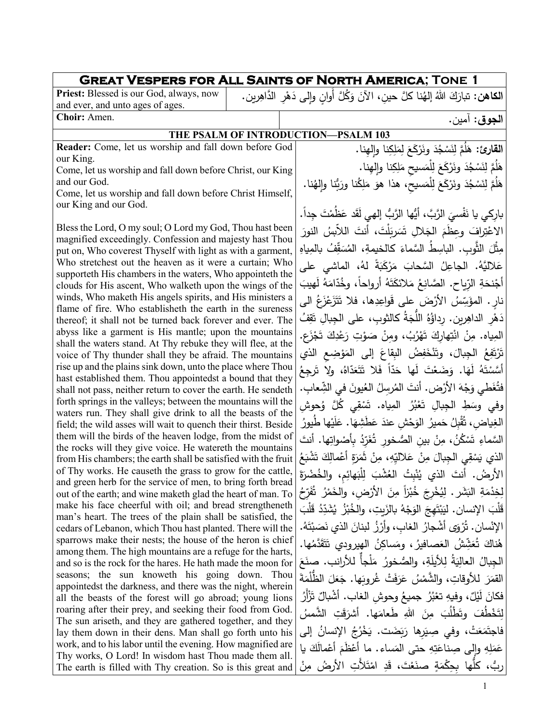| <b>GREAT VESPERS FOR ALL SAINTS OF NORTH AMERICA; TONE 1</b>                                                                 |  |  |                                                                                              |
|------------------------------------------------------------------------------------------------------------------------------|--|--|----------------------------------------------------------------------------------------------|
| Priest: Blessed is our God, always, now                                                                                      |  |  | ا <b>لكاهن:</b> تبارَكَ اللهُ إلهُنا كلَّ حينِ، الآنَ وَكُلَّ أوانٍ وإلى دَهْرِ الدَّاهِرين. |
| and ever, and unto ages of ages.                                                                                             |  |  |                                                                                              |
| Choir: Amen.                                                                                                                 |  |  | ا <b>لجوق</b> : آمين.                                                                        |
|                                                                                                                              |  |  | THE PSALM OF INTRODUCTION-PSALM 103                                                          |
| Reader: Come, let us worship and fall down before God                                                                        |  |  | القارئ: هَلُمَّ لِنَسْجُدَ ونَرْكَعَ لِمَلِكِنا والهنا.                                      |
| our King.                                                                                                                    |  |  | هَلَمَّ لِنَسْجُدَ ونَرْكَعَ لِلْمَسيحِ مَلِكِنا وإلهِنا.                                    |
| Come, let us worship and fall down before Christ, our King<br>and our God.                                                   |  |  |                                                                                              |
| Come, let us worship and fall down before Christ Himself,                                                                    |  |  | هَلُمَّ لِنَسْجُدَ ونَرْكَعَ لِلْمَسيح، هذا هوَ مَلِكُنا ورَبُّنا وإلهُنا.                   |
| our King and our God.                                                                                                        |  |  |                                                                                              |
|                                                                                                                              |  |  | باركي يا نَفْسيَ الرَّبَّ، أَيُّها الرَّبُّ إلهي لَقَد عَظُمْتَ جِداً.                       |
| Bless the Lord, O my soul; O Lord my God, Thou hast been                                                                     |  |  | الاعْتِرافَ وعظَمَ الجَلالِ تَسَرِيَلْتَ، أنتَ اللاَّبِسُ النورَ                             |
| magnified exceedingly. Confession and majesty hast Thou<br>put on, Who coverest Thyself with light as with a garment,        |  |  | مِثْلَ الثَّوبِ. الباسِطُ السَّماءَ كالخيمةِ، المُسَقِّفُ بالمِياهِ                          |
| Who stretchest out the heaven as it were a curtain; Who                                                                      |  |  | عَلاليَّهُ. الجاعِلُ السَّحابَ مَرْكَبَةً لهُ، الماشى على                                    |
| supporteth His chambers in the waters, Who appointeth the                                                                    |  |  |                                                                                              |
| clouds for His ascent, Who walketh upon the wings of the                                                                     |  |  | أَجْنحَةِ الرّباحِ. الصَّانِعُ مَلائكَتَهُ أَرواحاً، وخُدّامَهُ لَهيبَ                       |
| winds, Who maketh His angels spirits, and His ministers a<br>flame of fire. Who establisheth the earth in the sureness       |  |  | نار . المؤَسِّسُ الأَرْضَ على قَواعِدِها، فلا تَتَزَعْزَعُ الى                               |
| thereof; it shall not be turned back forever and ever. The                                                                   |  |  | دَهْرِ الداهِرِينِ. رِداؤُهُ اللَّجَةُ كالثوبِ، على الجبالِ تَقِفُ                           |
| abyss like a garment is His mantle; upon the mountains                                                                       |  |  | المِياه. مِنْ انْتِهارِكَ تَهْرُبُ، ومِنْ صَوْتِ رَعْدِكَ تَجْزَعِ.                          |
| shall the waters stand. At Thy rebuke they will flee, at the                                                                 |  |  |                                                                                              |
| voice of Thy thunder shall they be afraid. The mountains<br>rise up and the plains sink down, unto the place where Thou      |  |  | تَرْتَفِعُ الْجِبالَ، وتَنْخَفِضُ البِقاعَ إلى المَوْضِعِ الذي                               |
| hast established them. Thou appointedst a bound that they                                                                    |  |  | أَسَّسْتَهُ لَهَا. وَضَعْتَ لَها حَدّاً فَلا تَتَعَدّاهُ، ولا تَرجِعُ                        |
| shall not pass, neither return to cover the earth. He sendeth                                                                |  |  | فتُغَطى وَجْهَ الأَرْضِ. أنتَ المُرسِلُ العُيونَ في الشِّعابِ.                               |
| forth springs in the valleys; between the mountains will the                                                                 |  |  | وفي وسَطِ الْجِبالِ تَعْبُرُ الْمِياه. تَسْقِي كُلَّ وُحوشِ                                  |
| waters run. They shall give drink to all the beasts of the                                                                   |  |  | الغِياض، ثُقْبِلُ حَميرُ الوَحْشِ عندَ عَطَشِهَا. عَلَيْها طُيورُ                            |
| field; the wild asses will wait to quench their thirst. Beside<br>them will the birds of the heaven lodge, from the midst of |  |  |                                                                                              |
| the rocks will they give voice. He watereth the mountains                                                                    |  |  | السَّماءِ تَسْكُنُ، مِنْ بين الصُّخور تُغَرّدُ بأصْواتِها. أنتَ                              |
| from His chambers; the earth shall be satisfied with the fruit                                                               |  |  | الذي يَسْقِى الجِبالَ مِنْ عَلاليِّهِ، مِنْ ثَمَرَةٍ أَعْمالِكَ تَشْبَعُ                     |
| of Thy works. He causeth the grass to grow for the cattle,                                                                   |  |  | الأرضُ. أنتَ الذي يُنْبتُ العُشْبَ لِلْبَهائِمِ، والخُضْرَةَ                                 |
| and green herb for the service of men, to bring forth bread<br>out of the earth; and wine maketh glad the heart of man. To   |  |  | لِخِدْمَةِ البَشَرِ . لِيُخْرِجَ خُبْزاً مِنَ الأَرْضِ، والخَمْرُ ۚ تُفَرِّحُ                |
| make his face cheerful with oil; and bread strengtheneth                                                                     |  |  |                                                                                              |
| man's heart. The trees of the plain shall be satisfied, the                                                                  |  |  | قَلْبَ الإِنسانِ. ليَبْتَهِجَ الوَجْهُ بِالزَبِتِ، والخُبْزُ  يُشَدِّدُ قَلْبَ               |
| cedars of Lebanon, which Thou hast planted. There will the                                                                   |  |  | الإنْسان. تُرْوَى أشْجارُ الغابِ، وأرْزُ لبنانَ الذي نَصَبْتَهُ.                             |
| sparrows make their nests; the house of the heron is chief<br>among them. The high mountains are a refuge for the harts,     |  |  | هُناكَ تُعَشِّشُ العَصافيرُ ، ومَساكِنُ الهيرودي تَتَقَدَّمُها.                              |
| and so is the rock for the hares. He hath made the moon for                                                                  |  |  | الجبالُ العالِيَةُ لِلأَيلَةِ، والصُّخورُ  مَلْجأً للأرانب. صنَعَ                            |
| seasons; the sun knoweth his going down. Thou                                                                                |  |  | القَمَرَ للأوقاتِ، والشَّمْسُ عَرَفَتْ غُروبَها. جَعَلَ الظُّلْمَةَ                          |
| appointedst the darkness, and there was the night, wherein                                                                   |  |  |                                                                                              |
| all the beasts of the forest will go abroad; young lions                                                                     |  |  | فكانَ لَيْلٌ، وفيهِ تعْبُرُ جميعُ وحوشِ الغابِ. أَشْبالٌ تَزْأَرُ                            |
| roaring after their prey, and seeking their food from God.<br>The sun ariseth, and they are gathered together, and they      |  |  | لِتَخْطَفَ وتَطَلَبَ مِنَ اللهِ طَعامَها. أشرَقَتِ الشَّمسُ                                  |
| lay them down in their dens. Man shall go forth unto his                                                                     |  |  | فَاجِتَمَعَتْ، وفي صِيَرِها رَبَضَت. يَخْرُجُ الإِنسانُ إِلَى                                |
| work, and to his labor until the evening. How magnified are                                                                  |  |  | عَمَلِهِ وإِلَى صِناعَتِهِ حتى المَساء. ما أَعْظَمَ أَعْمالَكَ يا                            |
| Thy works, O Lord! In wisdom hast Thou made them all.                                                                        |  |  | ربُّ، كلُّها بحِكْمَةٍ صنَعْتَ، قَدِ امْتَلأَتِ الأرضُ مِنْ                                  |
| The earth is filled with Thy creation. So is this great and                                                                  |  |  |                                                                                              |
|                                                                                                                              |  |  | 1                                                                                            |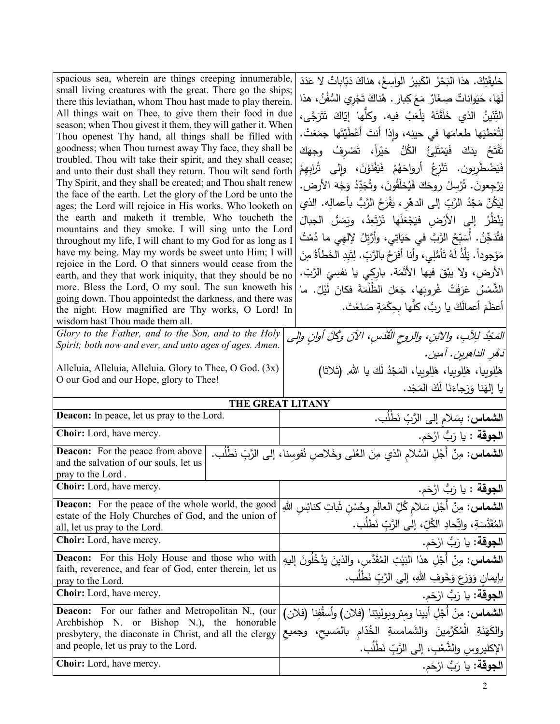| spacious sea, wherein are things creeping innumerable,<br>small living creatures with the great. There go the ships;<br>there this leviathan, whom Thou hast made to play therein.<br>All things wait on Thee, to give them their food in due<br>season; when Thou givest it them, they will gather it. When<br>Thou openest Thy hand, all things shall be filled with<br>goodness; when Thou turnest away Thy face, they shall be<br>troubled. Thou wilt take their spirit, and they shall cease;<br>and unto their dust shall they return. Thou wilt send forth<br>Thy Spirit, and they shall be created; and Thou shalt renew<br>the face of the earth. Let the glory of the Lord be unto the<br>ages; the Lord will rejoice in His works. Who looketh on<br>the earth and maketh it tremble, Who toucheth the<br>mountains and they smoke. I will sing unto the Lord<br>throughout my life, I will chant to my God for as long as I<br>have my being. May my words be sweet unto Him; I will<br>rejoice in the Lord. O that sinners would cease from the<br>earth, and they that work iniquity, that they should be no<br>more. Bless the Lord, O my soul. The sun knoweth his<br>going down. Thou appointedst the darkness, and there was<br>the night. How magnified are Thy works, O Lord! In<br>wisdom hast Thou made them all.<br>Glory to the Father, and to the Son, and to the Holy<br>Spirit; both now and ever, and unto ages of ages. Amen.<br>Alleluia, Alleluia, Alleluia. Glory to Thee, O God. (3x)<br>O our God and our Hope, glory to Thee! | خليقَتِكَ. هذا البَحْرُ الكَبِيرُ الواسِعُ، هناكَ دَبّاباتٌ لا عَدَدَ<br>لَهَا، حَيَواناتٌ صِغَارٌ مَعَ كِبارٍ . هُناكَ تَجْرِي السُّفُنُ، هذا<br>التِّنّينُ الذي خَلَقْتَهُ يَلْعَبُ فيه. وكلَّها إيّاكَ تَتَرَجّى،<br>لِتُعْطِيَها طعامَها في حينِه، وإذا أنتَ أَعْطَيْتَها جِمَعَتْ.<br>تَفْتَحُ    يدَكَ    فَيَمْتَلِئُ    الكُلُّ    خيْراً،    تَصْرفُ     وجهَكَ<br>فَيَضْطَرِبون. تَنْزِعُ أَرواحَهُمْ فَيَفْنَوْنَ، وإِلى تُرابِهِمْ<br>يَرْجِعونَ. تُرْسِلُ روحَكَ فَيُخلَقُونَ، وتُجَدِّدُ وَجْهَ الأرض.<br>لِيَكُنْ مَجْدُ الرَّبِّ إِلَى الدهْرِ ، يَفْرَحُ الرَّبُّ بأعمالِه. الذي<br>يَنْظُرُ إلى الأَرْض فيَجْعَلَها تَرْتَعِدُ، ويَمَسُّ الجبالَ<br>فتُدَخِّنُ. أَسَبِّحُ الرَّبَّ في حَيَاتِي، وأَرَّتِلُ لإلهِي ما دُمْتُ<br>مَوْجوداً . يَلَّذُ لَهُ تَأْمُلِي، وأنا أفرَحُ بالرَّبِّ . لِتَبدِ الخَطأةُ مِنَ<br>الأرض، ولا يبْقُّ فيها الأثَمَة. باركي يا نفسِيَ الرَّبِّ.<br>الشَّمْسُ عَرَفَتْ غُروبَها، جَعَلَ الظُلْمَةَ فكانَ لَيْلٌ. ما<br>أعظَمَ أعمالَكَ يا رِبٌ، كلَّها بحِكْمَةٍ صَنَعْتَ.<br>الْمَجْدُ لِلِأَبِ، والآبنِ، والروح الْقُدْسِ، الآنَ وكُلَّ أُوانِ والِي<br>دَهُرِ الداهِرِينِ. آمينِ.<br>هَلِلوبِيا، هَلِلوبِيا، هَلِلوبِيا، المَجْدُ لَكَ يا الله. (ثلاثا)<br>يا إلهَنا وَرَجاءَنَا لَكَ المَجْد. |
|------------------------------------------------------------------------------------------------------------------------------------------------------------------------------------------------------------------------------------------------------------------------------------------------------------------------------------------------------------------------------------------------------------------------------------------------------------------------------------------------------------------------------------------------------------------------------------------------------------------------------------------------------------------------------------------------------------------------------------------------------------------------------------------------------------------------------------------------------------------------------------------------------------------------------------------------------------------------------------------------------------------------------------------------------------------------------------------------------------------------------------------------------------------------------------------------------------------------------------------------------------------------------------------------------------------------------------------------------------------------------------------------------------------------------------------------------------------------------------------------------------------------------------------------------------------|---------------------------------------------------------------------------------------------------------------------------------------------------------------------------------------------------------------------------------------------------------------------------------------------------------------------------------------------------------------------------------------------------------------------------------------------------------------------------------------------------------------------------------------------------------------------------------------------------------------------------------------------------------------------------------------------------------------------------------------------------------------------------------------------------------------------------------------------------------------------------------------------------------------------------------------------------------------------------------------------------------------------------------------------------------------------------------------------------------------------------------------------------------------------------------------------------------------------------------------------------|
|                                                                                                                                                                                                                                                                                                                                                                                                                                                                                                                                                                                                                                                                                                                                                                                                                                                                                                                                                                                                                                                                                                                                                                                                                                                                                                                                                                                                                                                                                                                                                                  |                                                                                                                                                                                                                                                                                                                                                                                                                                                                                                                                                                                                                                                                                                                                                                                                                                                                                                                                                                                                                                                                                                                                                                                                                                                   |
| THE GREAT LITANY                                                                                                                                                                                                                                                                                                                                                                                                                                                                                                                                                                                                                                                                                                                                                                                                                                                                                                                                                                                                                                                                                                                                                                                                                                                                                                                                                                                                                                                                                                                                                 |                                                                                                                                                                                                                                                                                                                                                                                                                                                                                                                                                                                                                                                                                                                                                                                                                                                                                                                                                                                                                                                                                                                                                                                                                                                   |
| Deacon: In peace, let us pray to the Lord.<br>Choir: Lord, have mercy.                                                                                                                                                                                                                                                                                                                                                                                                                                                                                                                                                                                                                                                                                                                                                                                                                                                                                                                                                                                                                                                                                                                                                                                                                                                                                                                                                                                                                                                                                           | ا <b>لشماس:</b> بِسَلام إلى الرَّبِّ نَطْلُب.                                                                                                                                                                                                                                                                                                                                                                                                                                                                                                                                                                                                                                                                                                                                                                                                                                                                                                                                                                                                                                                                                                                                                                                                     |
|                                                                                                                                                                                                                                                                                                                                                                                                                                                                                                                                                                                                                                                                                                                                                                                                                                                                                                                                                                                                                                                                                                                                                                                                                                                                                                                                                                                                                                                                                                                                                                  | ا <b>لجوقة</b> : يا رَبُّ ارْحَم.                                                                                                                                                                                                                                                                                                                                                                                                                                                                                                                                                                                                                                                                                                                                                                                                                                                                                                                                                                                                                                                                                                                                                                                                                 |
| <b>Deacon:</b> For the peace from above<br>and the salvation of our souls, let us<br>pray to the Lord.                                                                                                                                                                                                                                                                                                                                                                                                                                                                                                                                                                                                                                                                                                                                                                                                                                                                                                                                                                                                                                                                                                                                                                                                                                                                                                                                                                                                                                                           | <b>الشماس:</b> مِنْ أَجْلِ السَّلامِ الذي مِنَ العُلمي وخَلاصِ نُفوسِنا، إلىي الرَّبِّ نَطْلُب.                                                                                                                                                                                                                                                                                                                                                                                                                                                                                                                                                                                                                                                                                                                                                                                                                                                                                                                                                                                                                                                                                                                                                   |
| Choir: Lord, have mercy.                                                                                                                                                                                                                                                                                                                                                                                                                                                                                                                                                                                                                                                                                                                                                                                                                                                                                                                                                                                                                                                                                                                                                                                                                                                                                                                                                                                                                                                                                                                                         | <b>الجوقة</b> : يا رَبُّ ارْحَم.                                                                                                                                                                                                                                                                                                                                                                                                                                                                                                                                                                                                                                                                                                                                                                                                                                                                                                                                                                                                                                                                                                                                                                                                                  |
| <b>Deacon:</b> For the peace of the whole world, the good<br>estate of the Holy Churches of God, and the union of                                                                                                                                                                                                                                                                                                                                                                                                                                                                                                                                                                                                                                                                                                                                                                                                                                                                                                                                                                                                                                                                                                                                                                                                                                                                                                                                                                                                                                                | <b>الشماس:</b> مِنْ أَجْلِ سَلام كُلِّ العالَم وحُسْنِ شَاتِ كنائِسِ اللهِ                                                                                                                                                                                                                                                                                                                                                                                                                                                                                                                                                                                                                                                                                                                                                                                                                                                                                                                                                                                                                                                                                                                                                                        |
| all, let us pray to the Lord.                                                                                                                                                                                                                                                                                                                                                                                                                                                                                                                                                                                                                                                                                                                                                                                                                                                                                                                                                                                                                                                                                                                                                                                                                                                                                                                                                                                                                                                                                                                                    | المُقَدَّسَةِ، واتِّحادِ الكُلِّ، إلى الرَّبِّ نَطلُب.                                                                                                                                                                                                                                                                                                                                                                                                                                                                                                                                                                                                                                                                                                                                                                                                                                                                                                                                                                                                                                                                                                                                                                                            |
| Choir: Lord, have mercy.                                                                                                                                                                                                                                                                                                                                                                                                                                                                                                                                                                                                                                                                                                                                                                                                                                                                                                                                                                                                                                                                                                                                                                                                                                                                                                                                                                                                                                                                                                                                         | ا <b>لجوقة:</b> يا رَبُّ ارْحَم.                                                                                                                                                                                                                                                                                                                                                                                                                                                                                                                                                                                                                                                                                                                                                                                                                                                                                                                                                                                                                                                                                                                                                                                                                  |
| <b>Deacon:</b> For this Holy House and those who with<br>faith, reverence, and fear of God, enter therein, let us                                                                                                                                                                                                                                                                                                                                                                                                                                                                                                                                                                                                                                                                                                                                                                                                                                                                                                                                                                                                                                                                                                                                                                                                                                                                                                                                                                                                                                                | ا <b>لشماس:</b> مِنْ أَجْلِ هذا النَيْتِ المُقَدَّس، والذينَ يَدْخُلُونَ إليهِ                                                                                                                                                                                                                                                                                                                                                                                                                                                                                                                                                                                                                                                                                                                                                                                                                                                                                                                                                                                                                                                                                                                                                                    |
| pray to the Lord.                                                                                                                                                                                                                                                                                                                                                                                                                                                                                                                                                                                                                                                                                                                                                                                                                                                                                                                                                                                                                                                                                                                                                                                                                                                                                                                                                                                                                                                                                                                                                | بإيمانِ وَوَرَعٍ وَخَوفِ اللهِ، إلى الرَّبِّ نَطْلُبٍ.                                                                                                                                                                                                                                                                                                                                                                                                                                                                                                                                                                                                                                                                                                                                                                                                                                                                                                                                                                                                                                                                                                                                                                                            |
| Choir: Lord, have mercy.                                                                                                                                                                                                                                                                                                                                                                                                                                                                                                                                                                                                                                                                                                                                                                                                                                                                                                                                                                                                                                                                                                                                                                                                                                                                                                                                                                                                                                                                                                                                         | ا <b>لجوقة:</b> يا رَبُّ ارْحَم.                                                                                                                                                                                                                                                                                                                                                                                                                                                                                                                                                                                                                                                                                                                                                                                                                                                                                                                                                                                                                                                                                                                                                                                                                  |
| Deacon: For our father and Metropolitan N., (our                                                                                                                                                                                                                                                                                                                                                                                                                                                                                                                                                                                                                                                                                                                                                                                                                                                                                                                                                                                                                                                                                                                                                                                                                                                                                                                                                                                                                                                                                                                 | ا <b>لشماس</b> : مِنْ أَجْلِ أبينا ومِتروبوليتِنا (فلان) وأسقَفِنا (فلان)                                                                                                                                                                                                                                                                                                                                                                                                                                                                                                                                                                                                                                                                                                                                                                                                                                                                                                                                                                                                                                                                                                                                                                         |
| Archbishop N. or Bishop N.), the honorable<br>presbytery, the diaconate in Christ, and all the clergy                                                                                                                                                                                                                                                                                                                                                                                                                                                                                                                                                                                                                                                                                                                                                                                                                                                                                                                                                                                                                                                                                                                                                                                                                                                                                                                                                                                                                                                            | والكَهَنَةِ الْمُكَرَّمينَ والشَمامسةِ الخُدَّام بالمَسيح، وجميع                                                                                                                                                                                                                                                                                                                                                                                                                                                                                                                                                                                                                                                                                                                                                                                                                                                                                                                                                                                                                                                                                                                                                                                  |
| and people, let us pray to the Lord.                                                                                                                                                                                                                                                                                                                                                                                                                                                                                                                                                                                                                                                                                                                                                                                                                                                                                                                                                                                                                                                                                                                                                                                                                                                                                                                                                                                                                                                                                                                             | الإكليروس والشَّعْبِ، إلى الرَّبِّ نَطْلُبٍ.                                                                                                                                                                                                                                                                                                                                                                                                                                                                                                                                                                                                                                                                                                                                                                                                                                                                                                                                                                                                                                                                                                                                                                                                      |
| Choir: Lord, have mercy.                                                                                                                                                                                                                                                                                                                                                                                                                                                                                                                                                                                                                                                                                                                                                                                                                                                                                                                                                                                                                                                                                                                                                                                                                                                                                                                                                                                                                                                                                                                                         | ا <b>لجوقة:</b> يا رَبُّ ارْحَم.                                                                                                                                                                                                                                                                                                                                                                                                                                                                                                                                                                                                                                                                                                                                                                                                                                                                                                                                                                                                                                                                                                                                                                                                                  |
|                                                                                                                                                                                                                                                                                                                                                                                                                                                                                                                                                                                                                                                                                                                                                                                                                                                                                                                                                                                                                                                                                                                                                                                                                                                                                                                                                                                                                                                                                                                                                                  |                                                                                                                                                                                                                                                                                                                                                                                                                                                                                                                                                                                                                                                                                                                                                                                                                                                                                                                                                                                                                                                                                                                                                                                                                                                   |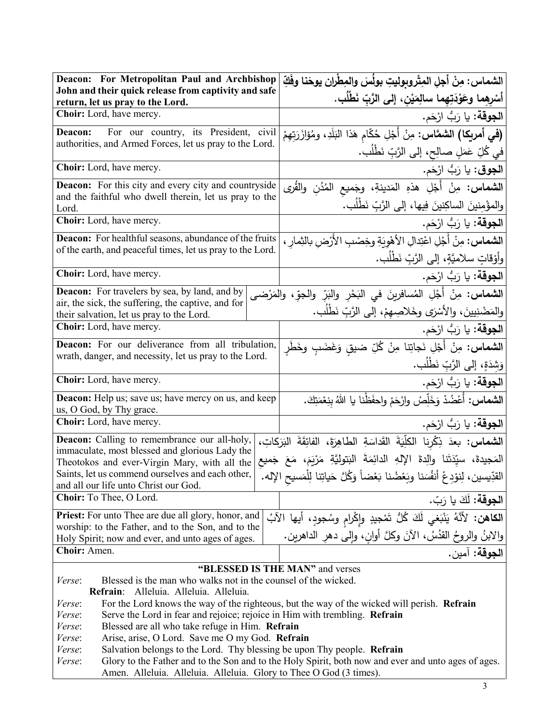| Deacon: For Metropolitan Paul and Archbishop                                                                                                    | الشماس: مِنْ أجلِ المِتْروبوليتِ بولُسَ والمِطْرانِ يوحَنا وفَكِّ                                       |  |
|-------------------------------------------------------------------------------------------------------------------------------------------------|---------------------------------------------------------------------------------------------------------|--|
| John and their quick release from captivity and safe<br>return, let us pray to the Lord.                                                        | أسْرِهما وعَوْدَتِهما سالِمَيْن، إلى الرَّبّ نَطْلُب.                                                   |  |
| Choir: Lord, have mercy.                                                                                                                        | ا <b>لجوقة:</b> يا رَبُّ ارْحَم.                                                                        |  |
| For our country, its President, civil<br>Deacon:                                                                                                | <b>(في أمريكا) الشمَّاس:</b> مِنْ أَجْلِ حُكّام هَذا النِّلَدِ، ومُؤازَرَتِهِمْ                         |  |
| authorities, and Armed Forces, let us pray to the Lord.                                                                                         | في كُلِّ عَمَلٍ صالِحٍ، إلى الرَّبِّ نَطْلُبٍ.                                                          |  |
| Choir: Lord, have mercy.                                                                                                                        | ا <b>لجوق</b> : يا رَبُّ ارْحَم.                                                                        |  |
| <b>Deacon:</b> For this city and every city and countryside                                                                                     | <b>الشماس:</b> مِنْ أَجْلِ هذهِ المَدينةِ، وجَميع المُدُنِ والقُرى                                      |  |
| and the faithful who dwell therein, let us pray to the<br>Lord.                                                                                 | والمؤْمِنينَ الساكِنينَ فِيها، إلى الرَّبِّ نَطْلُب.                                                    |  |
| Choir: Lord, have mercy.                                                                                                                        | ا <b>لجوقة:</b> يا رَبُّ ارْحَم.                                                                        |  |
| Deacon: For healthful seasons, abundance of the fruits                                                                                          | <b>الشماس:</b> مِنْ أَجْلِ اعْتِدالِ الأهْوِيَةِ وخِصْبِ الأَرْضِ بالثِمارِ ،                           |  |
| of the earth, and peaceful times, let us pray to the Lord.                                                                                      | وأَوْقَاتٍ سلاميَّةٍ، إِلَى الرَّبِّ نَطْلُب.                                                           |  |
| Choir: Lord, have mercy.                                                                                                                        | ا <b>لجوقة:</b> يا رَبُّ ارْحَم.                                                                        |  |
| <b>Deacon:</b> For travelers by sea, by land, and by                                                                                            | <b>الشماس:</b> مِنْ أَجْلِ المُسافرينَ في النَحْرِ والنَرِّ والجوِّ، والمَرْضى                          |  |
| air, the sick, the suffering, the captive, and for<br>their salvation, let us pray to the Lord.                                                 | والمَضْنِيينَ، والأَسْرَى وخَلاصِهِمْ، إلى الرَّبِّ نَطْلُب.                                            |  |
| Choir: Lord, have mercy.                                                                                                                        | ا <b>لجوقة:</b> يا رَبُّ ارْحَم.                                                                        |  |
| Deacon: For our deliverance from all tribulation,                                                                                               | <b>الشماس:</b> مِنْ أَجْلِ نَجاتِنا مِنْ كُلِّ ضيقِ وَغَضَبٍ وخَطَرِ                                    |  |
| wrath, danger, and necessity, let us pray to the Lord.                                                                                          | وَشِدَةٍ، إلى الرَّبِّ نَطْلُب.                                                                         |  |
| Choir: Lord, have mercy.                                                                                                                        | ا <b>لجوقة:</b> يا رَبُّ ارْحَم.                                                                        |  |
| Deacon: Help us; save us; have mercy on us, and keep<br>us, O God, by Thy grace.                                                                | ا <b>لشماس:</b> أَعْضُدْ وَخَلِّصْ وارْحَمْ واحفَظْنا يا اللهُ بِنِعْمَتِكَ.                            |  |
| Choir: Lord, have mercy.                                                                                                                        | ا <b>لجوقة:</b> يا رَبُّ ارْحَم.                                                                        |  |
| الشماس: بعدَ ذِكْرِنا الكلِّيَةَ القَداسَةِ الطَّاهِرَةَ، الفائِقَةَ الْبَرَكَاتِ،<br><b>Deacon:</b> Calling to remembrance our all-holy,       |                                                                                                         |  |
| immaculate, most blessed and glorious Lady the<br>Theotokos and ever-Virgin Mary, with all the                                                  | المَجيدةَ، سيِّدَتَنا والِدةَ الإِلهِ الدائِمَةَ البَتوليَّةِ مَرْيَمَ، مَعَ جَميع                      |  |
| Saints, let us commend ourselves and each other,                                                                                                | القدِّيسين، لِنوْدِعْ أَنفُسَنا وبَعْضُنا بَعْضاً وَكُلَّ حَياتِنا لِلْمَسيحِ الإله.                    |  |
| and all our life unto Christ our God.<br>Choir: To Thee, O Lord.                                                                                |                                                                                                         |  |
|                                                                                                                                                 | ا <b>لجوقة:</b> لَكَ يا رَبّ.                                                                           |  |
| Priest: For unto Thee are due all glory, honor, and<br>worship: to the Father, and to the Son, and to the                                       | ا <b>لكاهن:</b> لأنَّهُ يَنْبَغي لَكَ كُلُّ تَمْجِيدِ وإِكْرامِ وسُجودٍ، أيها الآبُ                     |  |
| Holy Spirit; now and ever, and unto ages of ages.                                                                                               |                                                                                                         |  |
| Choir: Amen.                                                                                                                                    | والابنُ والروحُ القدُسُ، الآنَ وكلَّ أوانٍ، وإِلـ <sub>ى</sub> دهرِ الداهرين.<br>ا <b>لجوقة</b> : آمين. |  |
| "BLESSED IS THE MAN" and verses                                                                                                                 |                                                                                                         |  |
| Blessed is the man who walks not in the counsel of the wicked.<br>Verse:                                                                        |                                                                                                         |  |
| Refrain: Alleluia. Alleluia. Alleluia.<br>For the Lord knows the way of the righteous, but the way of the wicked will perish. Refrain<br>Verse: |                                                                                                         |  |
| Serve the Lord in fear and rejoice; rejoice in Him with trembling. Refrain<br>Verse:                                                            |                                                                                                         |  |
| Blessed are all who take refuge in Him. Refrain<br>Verse:                                                                                       |                                                                                                         |  |
| Arise, arise, O Lord. Save me O my God. Refrain<br>Verse:                                                                                       |                                                                                                         |  |
| Salvation belongs to the Lord. Thy blessing be upon Thy people. Refrain<br>Verse:                                                               |                                                                                                         |  |
| Verse:<br>Amen. Alleluia. Alleluia. Alleluia. Glory to Thee O God (3 times).                                                                    | Glory to the Father and to the Son and to the Holy Spirit, both now and ever and unto ages of ages.     |  |
|                                                                                                                                                 | 3                                                                                                       |  |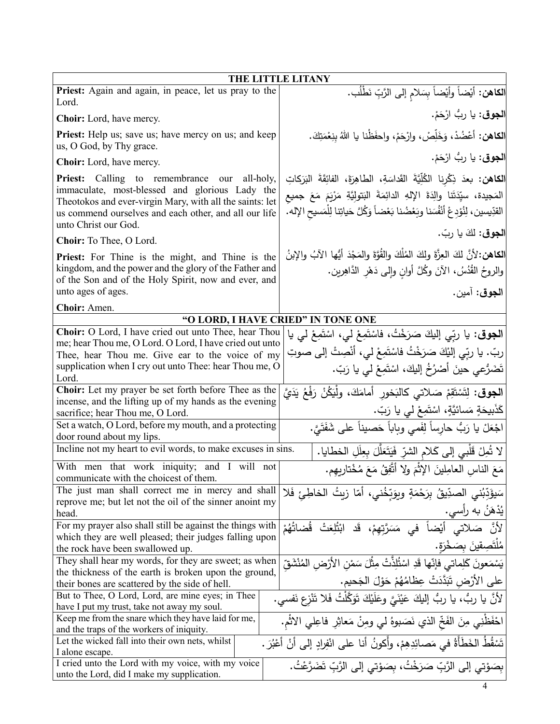| THE LITTLE LITANY                                                                                                                                                                                                            |                                                                                                                                                                                                 |  |
|------------------------------------------------------------------------------------------------------------------------------------------------------------------------------------------------------------------------------|-------------------------------------------------------------------------------------------------------------------------------------------------------------------------------------------------|--|
| Priest: Again and again, in peace, let us pray to the<br>Lord.                                                                                                                                                               | ا <b>لكاهن:</b> أيْضاً وأيْضاً بِسَلامِ إلى الرَّبِّ نَطْلُب.                                                                                                                                   |  |
| <b>Choir:</b> Lord, have mercy.                                                                                                                                                                                              | ا <b>لجوق</b> : يا ربُّ ارْحَمْ.                                                                                                                                                                |  |
| Priest: Help us; save us; have mercy on us; and keep<br>us, O God, by Thy grace.                                                                                                                                             | ا <b>لكاهن:</b> أعْضُدْ، وَخَلِّصْ، وارْحَمْ، واحفَظْنا يا اللهُ بنِعْمَتِكَ.                                                                                                                   |  |
| <b>Choir:</b> Lord, have mercy.                                                                                                                                                                                              | ا <b>لجوق</b> : يا ربُ ارْحَمْ.                                                                                                                                                                 |  |
| <b>Priest:</b> Calling to remembrance our all-holy,                                                                                                                                                                          | <b>الكاهن: بع</b> دَ ذِكْرِنا الكُلِّيَّةَ القَداسَةِ، الطاهِرَةَ، الفائِقَةَ البَرَكاتِ                                                                                                        |  |
| immaculate, most-blessed and glorious Lady the<br>Theotokos and ever-virgin Mary, with all the saints: let<br>us commend ourselves and each other, and all our life<br>unto Christ our God.                                  | المَجيدة، سيِّدَتَنا والِدَةَ الإِلهِ الدائِمَةَ البَتولِيَّةِ مَرْيَمَ مَعَ جميع<br>القدِّيسين، لِنُوْدِعْ أَنْفُسَنا وبَعْضُنا بَعْضاً وَكُلَّ حَياتِنا لِلْمَسيحِ الإله.                     |  |
| Choir: To Thee, O Lord.                                                                                                                                                                                                      | ا <b>لجوق:</b> لكَ يا ربّ.                                                                                                                                                                      |  |
| Priest: For Thine is the might, and Thine is the<br>kingdom, and the power and the glory of the Father and<br>of the Son and of the Holy Spirit, now and ever, and<br>unto ages of ages.                                     | الكاهن: لأنَّ لكَ العِزَّةَ ولكَ المُلْكَ والقُوَّةَ والمَجْدَ أيُّها الآبُ والإبنُ<br>والروحُ القُدُسُ، الآنَ وكُلَّ أوانِ وإلى دَهْرِ الدَّاهِرِينِ.<br>ا <b>لجوق</b> : آمين.                 |  |
| Choir: Amen.                                                                                                                                                                                                                 |                                                                                                                                                                                                 |  |
|                                                                                                                                                                                                                              | "O LORD, I HAVE CRIED" IN TONE ONE                                                                                                                                                              |  |
| Choir: O Lord, I have cried out unto Thee, hear Thou<br>me; hear Thou me, O Lord. O Lord, I have cried out unto<br>Thee, hear Thou me. Give ear to the voice of my<br>supplication when I cry out unto Thee: hear Thou me, O | ا <b>لجوق:</b> يا ربِّي إليكَ صَرَخْتُ، فاسْتَمِعْ لي، اسْتَمِعْ لي يا<br>ربّ. يا ربّي إليْكَ صَرَخْتُ فاسْتَمِعْ لي، أنْصِتْ إلى صوتِ<br>تَضَرُّعي حينَ أَصْرُخُ إِليكَ، اسْتَمِعْ لي يا رَبّ. |  |
| Lord.                                                                                                                                                                                                                        |                                                                                                                                                                                                 |  |
| Choir: Let my prayer be set forth before Thee as the<br>incense, and the lifting up of my hands as the evening<br>sacrifice; hear Thou me, O Lord.                                                                           | ا <b>لجوق</b> : لِتَسْتَقِمْ صَلاتي كالبَخور أمامَكَ، ولْيَكُنْ رَفْعُ يَدَيَّ<br>كَذَبِيحَةٍ مَسائيَّةٍ، اسْتَمِعْ لَى يا رَبّ.                                                                |  |
| Set a watch, O Lord, before my mouth, and a protecting<br>door round about my lips.                                                                                                                                          | اجْعَلْ يا رَبُّ حارساً لِفَمي وبِاباً حَصيناً على شَفَتَيّ.                                                                                                                                    |  |
| Incline not my heart to evil words, to make excuses in sins.                                                                                                                                                                 | لا تُمِلْ قَلْبِي إِلِي كَلامِ الشرِّ فَيَتَعَلَّلَ بِعِلَلِ الخطايا.                                                                                                                           |  |
| With men that work iniquity; and I will not<br>communicate with the choicest of them.                                                                                                                                        | مَعَ النَّاسِ الْعَامِلِينَ الإِثْمَ وَلَا أَتَّفِقُ مَعَ مُخْتَارِيهِم.                                                                                                                        |  |
| The just man shall correct me in mercy and shall<br>reprove me; but let not the oil of the sinner anoint my<br>head.                                                                                                         | سَيؤَدِّبُني الصدِّيقُ بِرَحْمَةٍ ويوَبِّخُني، أَمّا زيتُ الخاطِئ فَلا<br>يُدْهَنُ به راِسي.                                                                                                    |  |
| For my prayer also shall still be against the things with<br>which they are well pleased; their judges falling upon<br>the rock have been swallowed up.                                                                      | لأَنَّ صَلاتي أَيْضاً في مَسَرَّتهمْ، قَد ابْتُلْعَتْ قُضاتُهُمْ<br>مُلتَصِقينَ بِصَخْرَةٍ.                                                                                                     |  |
| They shall hear my words, for they are sweet; as when                                                                                                                                                                        | يَسْمَعونَ كَلِماتي فإنّها قَدِ اسْتُلِذّتْ مِثْلَ سَمْنِ الأَرْضِ المُنْشَقّ                                                                                                                   |  |
| the thickness of the earth is broken upon the ground,<br>their bones are scattered by the side of hell.                                                                                                                      | على الأرْض تَبَدَّدَتْ عِظامُهُمْ حَوْلَ الْجَحيم.                                                                                                                                              |  |
| But to Thee, O Lord, Lord, are mine eyes; in Thee<br>have I put my trust, take not away my soul.                                                                                                                             | لأَنَّ يا ربُّ، يا ربُّ إليكَ عَيْنَيَّ وعَلَيْكَ تَوَكَّلْتُ فَلا تَنْزع نَفسى.                                                                                                                |  |
| Keep me from the snare which they have laid for me,<br>and the traps of the workers of iniquity.                                                                                                                             | احْفَظْنِي مِنَ الفَخِّ الذي نَصَبوهُ لي ومِنْ مَعاثِرِ فاعِلي الاثْمِ.                                                                                                                         |  |
| Let the wicked fall into their own nets, whilst<br>I alone escape.                                                                                                                                                           | تَسْقُطُ الخَطَأَةُ في مَصائِدِهِمْ، وأكونُ أنا على انْفِرادٍ إلى أنْ أَعْبُرَ .                                                                                                                |  |
| I cried unto the Lord with my voice, with my voice<br>unto the Lord, did I make my supplication.                                                                                                                             | بِصَوْتِي إِلَى الرَّبِّ صَرَخْتُ، بِصَوْتِي إِلَى الرَّبِّ تَضَرَّعْتُ.                                                                                                                        |  |
|                                                                                                                                                                                                                              | 4                                                                                                                                                                                               |  |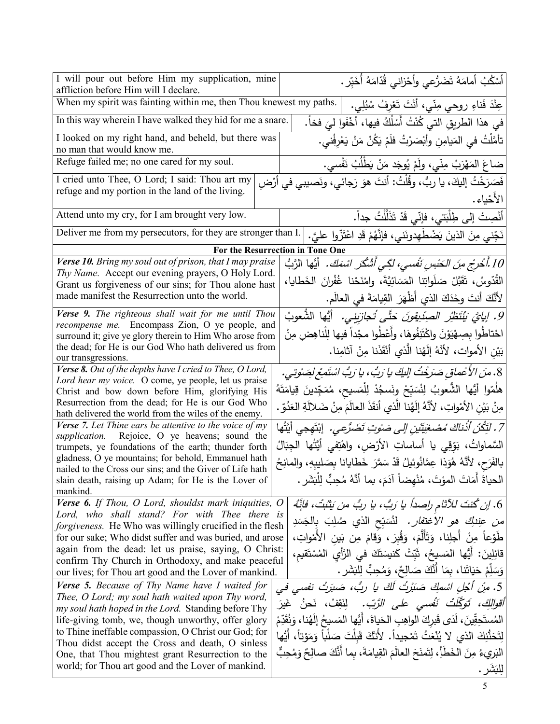| I will pour out before Him my supplication, mine<br>affliction before Him will I declare.                                   | أَسْكُبُ أَمامَهُ تَضَرُّعي وأَحْزاني قُدّامَهُ أَخَبِّر.                                                                                             |  |
|-----------------------------------------------------------------------------------------------------------------------------|-------------------------------------------------------------------------------------------------------------------------------------------------------|--|
| When my spirit was fainting within me, then Thou knewest my paths.<br>عِنْدَ فَناءِ روحيٍّ مِنّي، أَنْتَ تَعْرِفُ سُبُلِي.  |                                                                                                                                                       |  |
| In this way wherein I have walked they hid for me a snare.                                                                  | في هذا الطريقِ التي كُنْتُ أَسْلُكُ فيها، أَخْفَوا ليَ فخاً.                                                                                          |  |
| I looked on my right hand, and beheld, but there was<br>no man that would know me.                                          | تأمَّلْتُ في المَيامِن وأَبْصَرْتُ فلَمْ يَكُنْ مَنْ يَعْرِفُني.                                                                                      |  |
| Refuge failed me; no one cared for my soul.                                                                                 | ضاعَ المَهْرَبُ مِنِّي، ولَمْ يُوجَد مَنْ يَطْلُبُ نَفْسى.                                                                                            |  |
| I cried unto Thee, O Lord; I said: Thou art my                                                                              | فَصَرَخْتُ إليكَ، يا ربُّ، وقُلْتُ: أنتَ هوَ رَجائي، ونَصيبي في أرْضِ                                                                                 |  |
| refuge and my portion in the land of the living.                                                                            | الأخياء.                                                                                                                                              |  |
| Attend unto my cry, for I am brought very low.                                                                              | أَنْصِتْ إلى طِلْبَتي، فإنِّي قَدْ تَذَلَّلْتُ جداً.                                                                                                  |  |
| Deliver me from my persecutors, for they are stronger than I.                                                               | نَجِّني مِنَ الذينَ يَضْطَهِدونَني، فإنَّهُمْ قَدِ اعْتَزُّوا عليَّ.                                                                                  |  |
|                                                                                                                             | For the Resurrection in Tone One                                                                                                                      |  |
| Verse 10. Bring my soul out of prison, that I may praise                                                                    |                                                                                                                                                       |  |
| Thy Name. Accept our evening prayers, O Holy Lord.                                                                          | 10 أُخْرِج م <i>ِنَ ال</i> َحْب <i>سِ نَفْسي، لكِّي أَشْكُرَ اسْمَكَ.</i> أَيُّها  الرَّبُّ                                                           |  |
| Grant us forgiveness of our sins; for Thou alone hast<br>made manifest the Resurrection unto the world.                     | القُدّوسُ، تَقَبَّلْ صَلَواتِنا المَسَائِيَّةَ، وامْنَحْنا غُفْرانَ الخَطايا،                                                                         |  |
| Verse 9. The righteous shall wait for me until Thou                                                                         | لأَنَّكَ أَنتَ وحْذَكَ الذي أظْهَرَ القِيامَةَ في العالَم.                                                                                            |  |
| recompense me. Encompass Zion, O ye people, and                                                                             | 9. إيايَّ يَنْتَظِّرُ الصِدِّبِقِونَ حَتَّى تَجازِيَنِي. أَيُّها الشُّعوبُ                                                                            |  |
| surround it; give ye glory therein to Him Who arose from<br>the dead; for He is our God Who hath delivered us from          | احْتاطُوا بِصِهْيَوْنَ واكْتَنِفُوهَا، وأعْطُوا مجْداً فيها لِلْناهِض مِنْ                                                                            |  |
| our transgressions.                                                                                                         | بَيْنِ الأَمواتِ، لأَنَّهُ إِلَهُنا الَّذي أَنْقَذَنا مِنْ آثامِنا.                                                                                   |  |
| Verse 8. Out of the depths have I cried to Thee, O Lord,<br>Lord hear my voice. O come, ye people, let us praise            | 8. منَ الأعْماقِ صَرَخْتُ إليكَ يا رَبُّ، يا رَبُّ اسْتَمِعْ لِصَوْتِي.                                                                               |  |
| Christ and bow down before Him, glorifying His                                                                              | هلَمّوا أَيُّها الشُّعوبُ لِنُسَبِّحْ ونَسجُدْ لِلْمَسيح، مُمَجِّدينَ قِيامَتَهُ                                                                      |  |
| Resurrection from the dead; for He is our God Who<br>hath delivered the world from the wiles of the enemy.                  | مِنْ بَيْنِ الأَمْواتِ، لأنَّهُ إِلَهُنا الَّذي أنقَذَ العالَمَ مِنْ ضَلالَةِ العَدُوِّ .                                                             |  |
| <b>Verse 7.</b> Let Thine ears be attentive to the voice of my                                                              | 7 . لَتَكُنْ أَذْناكَ مُصْغَيِّتَيْنِ إِلَى صَوْتِ تَضَرَّعِي. ۖ إِبْتَهِجِي أَيَّتُها                                                                |  |
| supplication. Rejoice, O ye heavens; sound the<br>trumpets, ye foundations of the earth; thunder forth                      | السَّماواتُ، بَوِّقِي يا أساساتِ الأرْضِ، واهْتِفي أَيَّتُها الْجِبَالُ                                                                               |  |
| gladness, O ye mountains; for behold, Emmanuel hath<br>nailed to the Cross our sins; and the Giver of Life hath             | بالفَرَحِ، لأَنَّهُ هُوَذَا عِمَّانُوئيلُ قَدْ سَمَّرَ خَطَايانا بِصَليبِهِ، والمانِحُ                                                                |  |
| slain death, raising up Adam; for He is the Lover of                                                                        | الحياةَ أمَاتَ المؤتَ، مُنْهضاً آدَمَ، بما أنَّهُ مُحِبٍّ لِلْبَشَرِ .                                                                                |  |
| mankind.<br>Verse 6. If Thou, O Lord, shouldst mark iniquities, O                                                           |                                                                                                                                                       |  |
| Lord, who shall stand? For with Thee there is                                                                               | ِ 6. إن كُنتَ للآثام راصداً يا رَبُ، يا ربُ من بَثْبُتْ، فإنَّهُ                                                                                      |  |
| <i>forgiveness.</i> He Who was willingly crucified in the flesh<br>for our sake; Who didst suffer and was buried, and arose | <i>من</i> ع <i>ِندلِكَ هو الاغتفار.</i> لمُسَبِّح الذي صُلِبَ بِالجَسَدِ<br>طَوْعاً مِنْ أَجلِنا، وَتَأَلَّمَ، وَقُبِرَ، وَقامَ مِن بَينِ الأَمْواتِ، |  |
| again from the dead: let us praise, saying, O Christ:                                                                       | قَائِلِينَ: أَيُّها الْمَسيحُ، ثَبِّتْ كَنيسَتَكَ في الرَّأْيِ الْمُسْتَقيم،                                                                          |  |
| confirm Thy Church in Orthodoxy, and make peaceful<br>our lives; for Thou art good and the Lover of mankind.                | وَسَلِّمْ حَيَاتَنا، بمَا أَنَّكَ صَالِحٌ، وَمُحِبٌّ لِلبَشَرِ .                                                                                      |  |
| <b>Verse 5.</b> Because of Thy Name have I waited for                                                                       | 5. مِنْ أَجْلِ اسْمِكَ صَبَرْتُ لَكَ يا رِبُ، صَبَرَتْ نفسى في                                                                                        |  |
| Thee, O Lord; my soul hath waited upon Thy word,                                                                            | <i>أقوالكَ، تَوكَّلْتُ نَفْسي على الرَّبّ.</i> لِنَقِفْ، نَحنُ غَيرَ                                                                                  |  |
| my soul hath hoped in the Lord. Standing before Thy<br>life-giving tomb, we, though unworthy, offer glory                   | المُستَحِقِّينَ، لَدَى قَبرِكَ الواهِبِ الحَياةَ، أَيُّها المَسيحُ إِلَهُنا، وَنُقَدِّمْ                                                              |  |
| to Thine ineffable compassion, O Christ our God; for                                                                        | لِتَحَنُّنِكَ الذي لا يُنْعَتُ تَمْجِيداً. لأنَّكَ قَبِلْتَ صَلْباً وَمَوْتاً، أَيُّها                                                                |  |
| Thou didst accept the Cross and death, O sinless<br>One, that Thou mightest grant Resurrection to the                       | البَرِيءُ مِنَ الخَطَأِ، لِتَمنَحَ العالَمَ القِيامَةَ، بما أَنَّكَ صالِحٌ وَمُحِبٌّ                                                                  |  |
| world; for Thou art good and the Lover of mankind.                                                                          | لِلْبَشَر .                                                                                                                                           |  |
|                                                                                                                             |                                                                                                                                                       |  |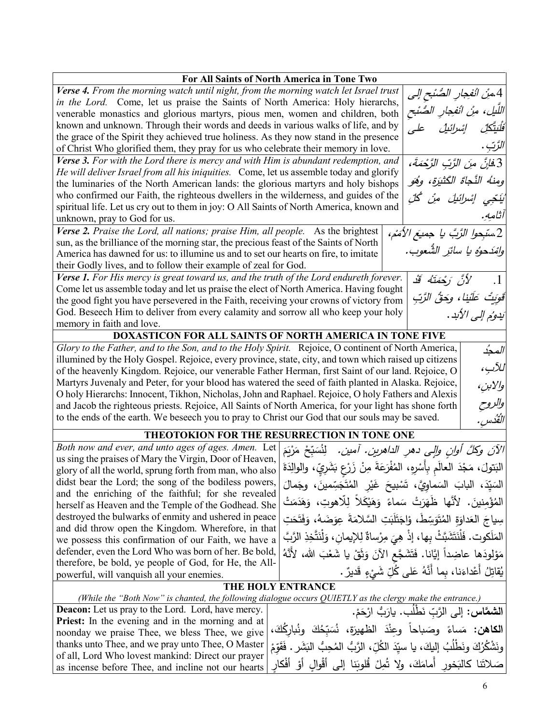| For All Saints of North America in Tone Two                                                                                                                                                                             |  |  |
|-------------------------------------------------------------------------------------------------------------------------------------------------------------------------------------------------------------------------|--|--|
| Verse 4. From the morning watch until night, from the morning watch let Israel trust<br>  4.منْ انْفِجارِ الصُنْحِ إلى                                                                                                  |  |  |
| in the Lord. Come, let us praise the Saints of North America: Holy hierarchs,                                                                                                                                           |  |  |
| اللّيل، منْ انْفجارِ الصُّنْح<br>venerable monastics and glorious martyrs, pious men, women and children, both                                                                                                          |  |  |
| known and unknown. Through their words and deeds in various walks of life, and by<br>َفَلَيَتَّكَلِّ إِسْرَائِيلُ                                                                                                       |  |  |
| the grace of the Spirit they achieved true holiness. As they now stand in the presence                                                                                                                                  |  |  |
| الزَّتِ .<br>of Christ Who glorified them, they pray for us who celebrate their memory in love.                                                                                                                         |  |  |
| Verse 3. For with the Lord there is mercy and with Him is abundant redemption, and<br>  3.ف <i>انَّ منَ الزَّبِّ الزَّحْمَةَ،</i>                                                                                       |  |  |
| He will deliver Israel from all his iniquities. Come, let us assemble today and glorify                                                                                                                                 |  |  |
| ومنهُ النَّجاَةَ الكَثْيَرَةِ، وهُوَ<br>the luminaries of the North American lands: the glorious martyrs and holy bishops                                                                                               |  |  |
| who confirmed our Faith, the righteous dwellers in the wilderness, and guides of the<br>نَيْتِجِي إِسْرائِيلَ مِنْ كُلِّ                                                                                                |  |  |
| spiritual life. Let us cry out to them in joy: O All Saints of North America, known and<br>آثامه.                                                                                                                       |  |  |
| unknown, pray to God for us.                                                                                                                                                                                            |  |  |
| Verse 2. Praise the Lord, all nations; praise Him, all people. As the brightest<br>2.سَبِحوا الرَّبَّ يا جميعَ الأَمَمْ،                                                                                                |  |  |
| sun, as the brilliance of the morning star, the precious feast of the Saints of North<br> وامْدَحوُه يا سائرِ الشَّعوب.                                                                                                 |  |  |
| America has dawned for us: to illumine us and to set our hearts on fire, to imitate                                                                                                                                     |  |  |
| their Godly lives, and to follow their example of zeal for God.                                                                                                                                                         |  |  |
| Verse 1. For His mercy is great toward us, and the truth of the Lord endureth forever.<br>لأَنَّ رَحْمَتَهُ قَدْ<br>$\cdot$ 1<br>Come let us assemble today and let us praise the elect of North America. Having fought |  |  |
| قَوِيتُ عَلَيْنا، وحَقُّ الرَّبِّ<br>the good fight you have persevered in the Faith, receiving your crowns of victory from                                                                                             |  |  |
| God. Beseech Him to deliver from every calamity and sorrow all who keep your holy                                                                                                                                       |  |  |
| يَدْوُمْ إِلَى الأُبْدِ.<br>memory in faith and love.                                                                                                                                                                   |  |  |
| DOXASTICON FOR ALL SAINTS OF NORTH AMERICA IN TONE FIVE                                                                                                                                                                 |  |  |
| Glory to the Father, and to the Son, and to the Holy Spirit. Rejoice, O continent of North America,<br>المحدُ                                                                                                           |  |  |
| illumined by the Holy Gospel. Rejoice, every province, state, city, and town which raised up citizens                                                                                                                   |  |  |
| للآب،<br>of the heavenly Kingdom. Rejoice, our venerable Father Herman, first Saint of our land. Rejoice, O                                                                                                             |  |  |
| Martyrs Juvenaly and Peter, for your blood has watered the seed of faith planted in Alaska. Rejoice,                                                                                                                    |  |  |
| والابن،<br>O holy Hierarchs: Innocent, Tikhon, Nicholas, John and Raphael. Rejoice, O holy Fathers and Alexis                                                                                                           |  |  |
| والروح<br>and Jacob the righteous priests. Rejoice, All Saints of North America, for your light has shone forth                                                                                                         |  |  |
| to the ends of the earth. We beseech you to pray to Christ our God that our souls may be saved.<br> القُدس .                                                                                                            |  |  |
| THEOTOKION FOR THE RESURRECTION IN TONE ONE                                                                                                                                                                             |  |  |
| Both now and ever, and unto ages of ages. Amen. Let                                                                                                                                                                     |  |  |
| الآنَ وكلَّ أوانِ وإلى دهرِ الداهرينِ. آمينِ.   لِنُسَبِّحْ مَرْيَمَ<br>us sing the praises of Mary the Virgin, Door of Heaven,                                                                                         |  |  |
| البَتولَ، مَجْدَ العالَمِ بِأَسْرِهِ، المُفْرَعَةَ مِنْ زَرْعِ بَشَرِيٍّ، والوالِدَةَ<br>glory of all the world, sprung forth from man, who also                                                                        |  |  |
| didst bear the Lord; the song of the bodiless powers,<br>السَيّدَ، البابَ السَماوِيَّ، تَسْبِيحَ غَيْرِ الْمُتَجَسِّمِينَ، وجَمالَ                                                                                      |  |  |
| and the enriching of the faithful; for she revealed                                                                                                                                                                     |  |  |
| الْمُؤْمِنينَ. لأنَّها ظُهَرَتْ سَماءً وَهَيْكَلاً لِلاهوتِ، وَهَدَمَتْ<br>herself as Heaven and the Temple of the Godhead. She                                                                                         |  |  |
| destroyed the bulwarks of enmity and ushered in peace<br>سِياجَ العَداوَةِ الْمُتَوَسِّطْ، وْاِجَتَلَبَتِ السَّلامَةَ عِوَضَهُ، وَفَتَحَتِ                                                                              |  |  |
| and did throw open the Kingdom. Wherefore, in that                                                                                                                                                                      |  |  |
| المَلَكوت. فَلْنَتَشَبَّتْ بِها، إذْ هِيَ مِرْساةٌ لِلإِيمانِ، وَلْنَتَّخِذِ الرَّبَّ<br>we possess this confirmation of our Faith, we have a                                                                           |  |  |
| defender, even the Lord Who was born of her. Be bold,<br>مَوْلودَها عاضِداً إيَّانا. فَتَشَجَّع الآنَ وَثَقْ يا شَعْبَ الله، لأَنَّهُ                                                                                   |  |  |
| therefore, be bold, ye people of God, for He, the All-<br>يُقاتِلُ أَعْداءَنا، بِما أَنَّهُ عَلَى كُلِّ شَيْءٍ قَديرٌ .                                                                                                 |  |  |
| powerful, will vanquish all your enemies.                                                                                                                                                                               |  |  |
| <b>THE HOLY ENTRANCE</b><br>(While the "Both Now" is chanted, the following dialogue occurs QUIETLY as the clergy make the entrance.)                                                                                   |  |  |
| Deacon: Let us pray to the Lord. Lord, have mercy.<br>ا <b>لشمَّاس:</b> إلى الرَّبِّ نَطْلُبٍ. يارَبُّ ارْحَمْ.                                                                                                         |  |  |
| <b>Priest:</b> In the evening and in the morning and at                                                                                                                                                                 |  |  |
| <b>الكاهن:</b> مَساءً وصَباحاً وعِنْدَ الظهيرَةِ، نُسَبّحُكَ ونُبارِكَكَ،<br>noonday we praise Thee, we bless Thee, we give                                                                                             |  |  |
| thanks unto Thee, and we pray unto Thee, O Master<br>ونَشْكُرُكَ ونَطْلُبُ إِليكَ، يا سيّدَ الكُلِّ، الرَّبُّ الْمُحِبُّ النِّشَرِ .                                                                                    |  |  |
| of all, Lord Who lovest mankind: Direct our prayer                                                                                                                                                                      |  |  |
| صَلاتَنا كالبَخور أمامَكَ، ولا تُمِلْ قُلوبَنا إلى أَقْوالِ أَوْ أَفْكارِ<br>as incense before Thee, and incline not our hearts                                                                                         |  |  |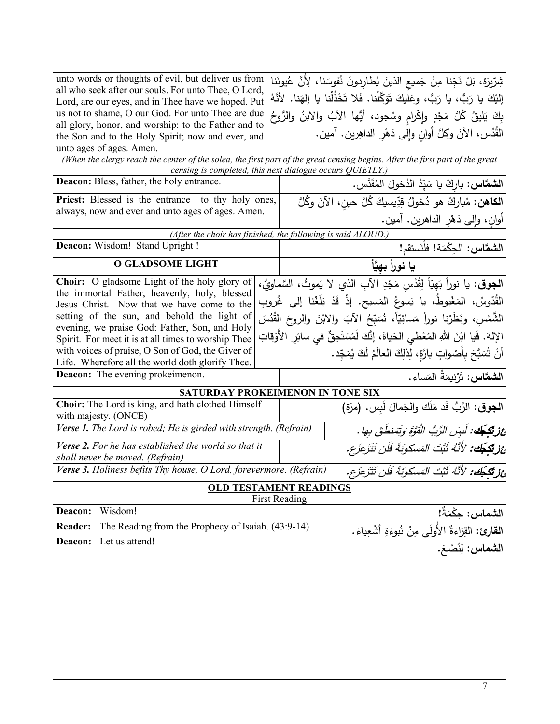| unto words or thoughts of evil, but deliver us from<br>all who seek after our souls. For unto Thee, O Lord,                   | شِرِّيرَة، بَلْ نَجِّنا مِنْ جَميعِ الذينَ يُطارِدونَ نُفوسَنا، لِأَنَّ عُيونَنا<br>إليْكَ يا رَبُّ، يا رَبُّ، وعَلَيكَ تَوَكَّلْنا. فَلا تَخْذُلْنا يا إلهَنا. لأَنَّهُ |                                        |
|-------------------------------------------------------------------------------------------------------------------------------|--------------------------------------------------------------------------------------------------------------------------------------------------------------------------|----------------------------------------|
| Lord, are our eyes, and in Thee have we hoped. Put<br>us not to shame, O our God. For unto Thee are due                       | بِكَ يَليقُ كُلُّ مَجْدٍ وإِكْرامٍ وسُجود، أَيُّها الآبُ والابنُ والرُّوحُ                                                                                               |                                        |
| all glory, honor, and worship: to the Father and to                                                                           |                                                                                                                                                                          |                                        |
| the Son and to the Holy Spirit; now and ever, and<br>unto ages of ages. Amen.                                                 | الْقُدُس، الآنَ وكُلَّ أُوانِ وإِلَى دَهْرِ الداهِرين. آمين.                                                                                                             |                                        |
| (When the clergy reach the center of the solea, the first part of the great censing begins. After the first part of the great | censing is completed, this next dialogue occurs QUIETLY.)                                                                                                                |                                        |
| Deacon: Bless, father, the holy entrance.                                                                                     | الشعَّاس: باركْ يا سَيّدُ الدُخولَ المُقَدَّس.                                                                                                                           |                                        |
| <b>Priest:</b> Blessed is the entrance to thy holy ones,                                                                      | ا <b>لكاهن:</b> مُباركٌ هو دُخولُ قِدِّيسيكَ كُلَّ حينِ، الآنَ وكُلَّ                                                                                                    |                                        |
| always, now and ever and unto ages of ages. Amen.                                                                             | أُوانِ، وَإِلَى دَهْرِ الدَاهْرِينِ. أَمَيْنِ.                                                                                                                           |                                        |
|                                                                                                                               | (After the choir has finished, the following is said ALOUD.)                                                                                                             |                                        |
| Deacon: Wisdom! Stand Upright !                                                                                               |                                                                                                                                                                          | الشمَّاس: الحِكْمَة! فلْنَستقم!        |
| <b>O GLADSOME LIGHT</b>                                                                                                       | يا نوراً بهيَّاً                                                                                                                                                         |                                        |
| Choir: O gladsome Light of the holy glory of                                                                                  | ا <b>لجوق</b> : يا نوراً بَهِيّاً لِقُدْسٍ مَجْدِ الآبِ الذي لا يَموتُ، السَّماويُّ،                                                                                     |                                        |
| the immortal Father, heavenly, holy, blessed<br>Jesus Christ. Now that we have come to the                                    | القُدّوسُ، المَغْبوطُ، يا يَسوعُ المَسيح. إذْ قَدْ بَلَغْنا إلى غُروبِ                                                                                                   |                                        |
| setting of the sun, and behold the light of                                                                                   | الشَّمْس، ونَظَرْنا نوراً مَسائِيّاً، نُسَبِّحُ الآبَ والابْنَ والروحَ القُدُسَ                                                                                          |                                        |
| evening, we praise God: Father, Son, and Holy<br>Spirit. For meet it is at all times to worship Thee                          | الإِلهَ. فَيا ابْنَ اللهِ المُعْطى الحَياةَ، إِنَّكَ لَمُسْتَحِقٌّ في سائِرِ الأَوْقاتِ                                                                                  |                                        |
| with voices of praise, O Son of God, the Giver of                                                                             | أَنْ شُبَبَّحَ بِأَصْواتٍ بارَّةٍ، لِذلِكَ العالَمُ لَكَ يُمَجِّد.                                                                                                       |                                        |
| Life. Wherefore all the world doth glorify Thee.                                                                              |                                                                                                                                                                          |                                        |
| <b>Deacon:</b> The evening prokeimenon.                                                                                       |                                                                                                                                                                          | ا <b>لشمَّاس:</b> تَرْنِيمَةُ المَساء. |
| Choir: The Lord is king, and hath clothed Himself                                                                             | SATURDAY PROKEIMENON IN TONE SIX                                                                                                                                         |                                        |
| with majesty. (ONCE)                                                                                                          | الجوق: الرَّبُّ قَد مَلَك والجَمالَ لَبِس. (مرّة)                                                                                                                        |                                        |
| Verse 1. The Lord is robed; He is girded with strength. (Refrain)                                                             | أَعْزِيْكِجُكَ: لَبِسَ الزَّبُ الْقُوَّةِ وَتَمَنطَقَ بِهَا .                                                                                                            |                                        |
| Verse 2. For he has established the world so that it<br>shall never be moved. (Refrain)                                       | أَعْزِ تَكَجَّكَ: 'لأَنَّهُ ثَبَّتَ المَسكونَةَ فَلَن تَتَزَعَزَع.                                                                                                       |                                        |
| Verse 3. Holiness befits Thy house, O Lord, forevermore. (Refrain)                                                            | أَعْزِ تَكَجَّكَ: 'لأَنَّهُ ثَبَّتَ المَسكونَةَ فَلَن تَتَزَعَزَع.                                                                                                       |                                        |
|                                                                                                                               | <b>OLD TESTAMENT READINGS</b>                                                                                                                                            |                                        |
| Wisdom!<br>Deacon:                                                                                                            | <b>First Reading</b>                                                                                                                                                     |                                        |
| The Reading from the Prophecy of Isaiah. (43:9-14)<br><b>Reader:</b>                                                          |                                                                                                                                                                          |                                        |
| Let us attend!<br>Deacon:                                                                                                     | ا <b>لشماس:</b> حِكْمَةٌ!<br>ا <b>لقارئ:</b> القِرَاءَةٌ الأُولَى مِنْ نُبوءَةِ أشْعِياءَ.<br>ا <b>لشماس:</b> لِنُصْغِ.                                                  |                                        |
|                                                                                                                               |                                                                                                                                                                          |                                        |
|                                                                                                                               |                                                                                                                                                                          |                                        |
|                                                                                                                               |                                                                                                                                                                          |                                        |
|                                                                                                                               |                                                                                                                                                                          |                                        |
|                                                                                                                               |                                                                                                                                                                          |                                        |
|                                                                                                                               |                                                                                                                                                                          |                                        |
|                                                                                                                               |                                                                                                                                                                          |                                        |
|                                                                                                                               |                                                                                                                                                                          |                                        |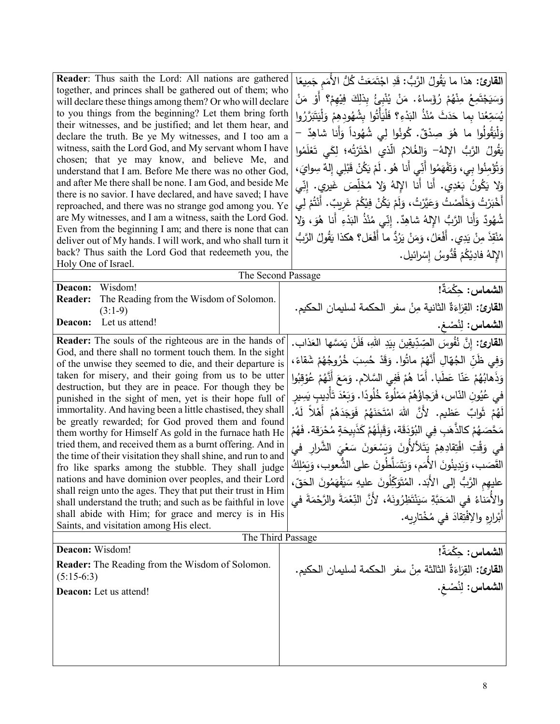| <b>Reader:</b> Thus saith the Lord: All nations are gathered<br>together, and princes shall be gathered out of them; who<br>will declare these things among them? Or who will declare<br>to you things from the beginning? Let them bring forth<br>their witnesses, and be justified; and let them hear, and<br>declare the truth. Be ye My witnesses, and I too am a<br>witness, saith the Lord God, and My servant whom I have<br>chosen; that ye may know, and believe Me, and<br>understand that I am. Before Me there was no other God,<br>and after Me there shall be none. I am God, and beside Me<br>there is no savior. I have declared, and have saved; I have<br>reproached, and there was no strange god among you. Ye<br>are My witnesses, and I am a witness, saith the Lord God.<br>Even from the beginning I am; and there is none that can<br>deliver out of My hands. I will work, and who shall turn it<br>back? Thus saith the Lord God that redeemeth you, the<br>Holy One of Israel.                                             | ا <b>لقارئ:</b> هذا ما يَقُولُ الرَّبُّ: قَدِ اجْتَمَعَتْ كُلُّ الأُمَم جَمِيعًا<br>وَسَيَجْتَمِعُ مِنْهُمْ رُؤَساءُ. مَنْ يُنْبِئُ بِذٰلِكَ فِيْهِمْ؟ أَوْ مَنْ<br>يُسَمِّعُنا بِما حَدَثَ مُنْذُ البَدْءِ؟ فَلْيَأْتُوا بِشُهُودِهِمْ وَلْيَتَبَرَّرُوا<br>وَلْيَقُولُوا ما هُوَ صِدْقٌ. كُونُوا لِي شُهُوداً وَأنا شاهِدٌ –<br>يَقُولُ الرَّبُّ الإِلهُ– وَالغُلامُ الَّذي اخْتَرْتُه؛ لِكَى تَعْلَمُوا<br>وَتُؤْمِنُوا بِي، وَتَفْهَمُوا أَنِّي أَنا هُو . لَمْ يَكُنْ قَبْلِي إِلهٌ سِوايَ،<br>وَلا يَكُونُ بَعْدِي. أَنا أَنا الإِلهُ وَلا مُخَلِّصَ غَيرِي. إِنِّي<br>أَخْبَرْتُ وَخَلَّصْتُ وَعَيَّرْتُ، وَلَمْ يَكُنْ فِيْكُمْ غَرِيبٌ. أَنْتُمْ لِي<br>شُهُودٌ وَأَنا الرَّبُ الإِلهُ شاهِدٌ. إِنِّي مُنْذُ البَدْءِ أَنا هُوَ، وَلِا<br>مُنْقِذَ مِنْ يَدِي. أَفْعَلُ، وَمَنْ يَرُدُّ ما أَفْعَل؟ هكذا يَقُولُ الرَّبُّ<br>الإِلهُ فادِيْكُمْ قُدُّوسُ إِسْرائيل.     |
|--------------------------------------------------------------------------------------------------------------------------------------------------------------------------------------------------------------------------------------------------------------------------------------------------------------------------------------------------------------------------------------------------------------------------------------------------------------------------------------------------------------------------------------------------------------------------------------------------------------------------------------------------------------------------------------------------------------------------------------------------------------------------------------------------------------------------------------------------------------------------------------------------------------------------------------------------------------------------------------------------------------------------------------------------------|----------------------------------------------------------------------------------------------------------------------------------------------------------------------------------------------------------------------------------------------------------------------------------------------------------------------------------------------------------------------------------------------------------------------------------------------------------------------------------------------------------------------------------------------------------------------------------------------------------------------------------------------------------------------------------------------------------------------------------------------------------------------------------------------------------------------------------------------------------------------------------|
| The Second Passage                                                                                                                                                                                                                                                                                                                                                                                                                                                                                                                                                                                                                                                                                                                                                                                                                                                                                                                                                                                                                                     |                                                                                                                                                                                                                                                                                                                                                                                                                                                                                                                                                                                                                                                                                                                                                                                                                                                                                  |
| Wisdom!<br>Deacon:<br><b>Reader:</b><br>The Reading from the Wisdom of Solomon.<br>$(3:1-9)$                                                                                                                                                                                                                                                                                                                                                                                                                                                                                                                                                                                                                                                                                                                                                                                                                                                                                                                                                           | الشماس: حكْمَةٌ!<br>ا <b>لقارئ:</b> القِرَاءَةُ الثانية مِنْ سفرِ الحكمة لسليمان الحكيم.                                                                                                                                                                                                                                                                                                                                                                                                                                                                                                                                                                                                                                                                                                                                                                                         |
| Let us attend!<br>Deacon:                                                                                                                                                                                                                                                                                                                                                                                                                                                                                                                                                                                                                                                                                                                                                                                                                                                                                                                                                                                                                              | الشماس: لِنُصْغ.                                                                                                                                                                                                                                                                                                                                                                                                                                                                                                                                                                                                                                                                                                                                                                                                                                                                 |
| <b>Reader:</b> The souls of the righteous are in the hands of<br>God, and there shall no torment touch them. In the sight<br>of the unwise they seemed to die, and their departure is<br>taken for misery, and their going from us to be utter<br>destruction, but they are in peace. For though they be<br>punished in the sight of men, yet is their hope full of<br>immortality. And having been a little chastised, they shall<br>be greatly rewarded; for God proved them and found<br>them worthy for Himself As gold in the furnace hath He<br>tried them, and received them as a burnt offering. And in<br>the time of their visitation they shall shine, and run to and<br>fro like sparks among the stubble. They shall judge<br>nations and have dominion over peoples, and their Lord<br>shall reign unto the ages. They that put their trust in Him<br>shall understand the truth; and such as be faithful in love<br>shall abide with Him; for grace and mercy is in His<br>Saints, and visitation among His elect.<br>The Third Passage | ا <b>لقارئ:</b> إِنَّ نُفُوسَ الْصِّدِّيقِينَ بِيَدِ اللهِ، فَلَنْ يَمَسَّها العَذاب.<br>وَفِي ظَنِّ الْجُهَّالِ أَنَّهُمْ ماتُوا. وَقَدْ حُسِبَ خُرُوجُهُمْ شَقاءً،<br>وَذَهابُهُمْ عَنّا عَطَبا. أَمّا هُمْ فَفِى السَّلام. وَمَعَ أَنَّهُمْ عُوْقَبُوا<br>فى عُيُونِ النّاسِ، فَرَجاؤُهُمْ مَمْلُوءٌ خُلُودًا. وَبَعْدَ تَأْدِيبِ يَسِيرِ<br>لَهُمْ ثَوابٌ عَظيمٍ. لأَنَّ اللهَ امْتَحَنَهُمْ فَوَجَدَهُمْ أَهْلاً لَهُ.<br>مَحَّصَهُمْ كالذَّهَبِ فِى البُوْدَقَة، وَقَبِلَهُمْ كَذَبِيحَةٍ مُحْرَقة. فَهُمْ<br>في وَقْتِ افْتِقادِهِمْ يَتَلألأُونَ وَيَسْعَونَ سَعْيَ الشَّرارِ في<br>القَصَب، وَيَدِينُونَ الأَمَم، وَيَتَسَلَّطُونَ على الشُّعوب، وَيَمْلِكُ<br>عليهِم الرَّبُ إلى الأَبَد. المُتَوَكِّلُونَ عليهِ سَيَفْهَمُونَ الحَقِّ،<br>والأُمَناءُ فى المَحَبَّةِ سَيَنْتَظِرُونَهُ، لأَنَّ النِّعْمَةَ والرَّحْمَةَ في<br>أَبْرارِهِ والإفْتِقادَ في مُخْتارِيهِ. |
| Deacon: Wisdom!                                                                                                                                                                                                                                                                                                                                                                                                                                                                                                                                                                                                                                                                                                                                                                                                                                                                                                                                                                                                                                        |                                                                                                                                                                                                                                                                                                                                                                                                                                                                                                                                                                                                                                                                                                                                                                                                                                                                                  |
| <b>Reader:</b> The Reading from the Wisdom of Solomon.<br>$(5:15-6:3)$                                                                                                                                                                                                                                                                                                                                                                                                                                                                                                                                                                                                                                                                                                                                                                                                                                                                                                                                                                                 | الشماس: حكْمَةٌ!<br>القارئ: القِرَاءَةٌ الثالثة مِنْ سفرِ الحكمة لسليمان الحكيم.                                                                                                                                                                                                                                                                                                                                                                                                                                                                                                                                                                                                                                                                                                                                                                                                 |
| Deacon: Let us attend!                                                                                                                                                                                                                                                                                                                                                                                                                                                                                                                                                                                                                                                                                                                                                                                                                                                                                                                                                                                                                                 | الشماس: لِنُصْغ.                                                                                                                                                                                                                                                                                                                                                                                                                                                                                                                                                                                                                                                                                                                                                                                                                                                                 |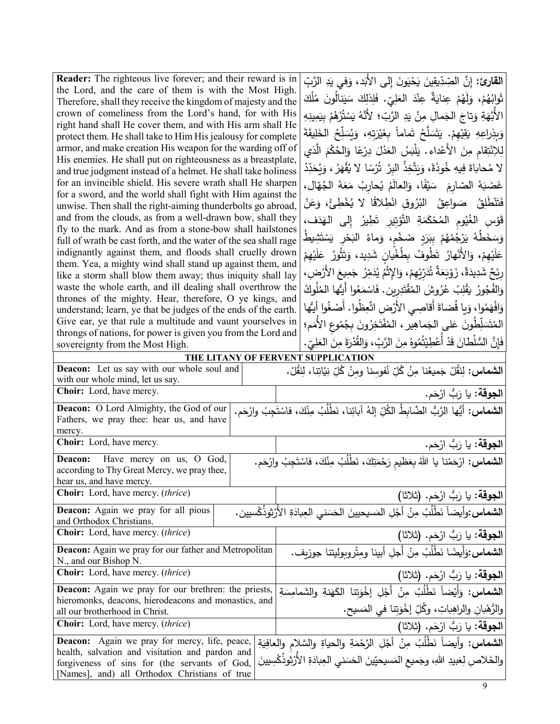| <b>Reader:</b> The righteous live forever; and their reward is in                                                                        |  | ا <b>لقارئ:</b> إِنَّ الصِّدِّيقِينَ يَحْيَونَ إِل <sub>َى</sub> الأَبَد، وَف <i>ى</i> يَدِ الرَّبِّ |  |
|------------------------------------------------------------------------------------------------------------------------------------------|--|------------------------------------------------------------------------------------------------------|--|
| the Lord, and the care of them is with the Most High.                                                                                    |  | ثَوابُهُمْ، وَلَهُمْ عِنايَةٌ عِنْدَ العَلِيِّ. فَلِذلِكَ سَيَنالُونَ مُلْكَ                         |  |
| Therefore, shall they receive the kingdom of majesty and the                                                                             |  |                                                                                                      |  |
| crown of comeliness from the Lord's hand, for with His                                                                                   |  | الأَبَّهَةِ وَتاجَ الجَمالِ مِنْ يَدِ الرَّبِّ؛ لأَنَّهُ يَسْتُرُهُمْ بِيَمِينِهِ                    |  |
| right hand shall He cover them, and with His arm shall He<br>protect them. He shall take to Him His jealousy for complete                |  | وَبِذِراعِهِ يَقِيْهِمْ. يَتَسَلَّحُ تَماماً بِغَيْرَتِهِ، وَيُسَلِّحُ الْخَلِيقَةَ                  |  |
| armor, and make creation His weapon for the warding off of                                                                               |  |                                                                                                      |  |
| His enemies. He shall put on righteousness as a breastplate,                                                                             |  | لِلاِنْتِقام مِنَ الأَعْداءِ. يَلْبَسُ العَدْلَ دِرْعًا وَالحُكْمَ الَّذي                            |  |
| and true judgment instead of a helmet. He shall take holiness                                                                            |  | لا مُحاباةَ فِيهِ خُوذَةً، وَيَتَّخِذُ البرَّ تُرْسًا لا يُقْهَرُ ، وَيُحَدِّدُ                      |  |
| for an invincible shield. His severe wrath shall He sharpen                                                                              |  | غَضَبَهُ الصّارِمَ ۖ سَيْفًا، وَالعالَمُ يُحارِبُ مَعَهُ الْجُهَّالِ،                                |  |
| for a sword, and the world shall fight with Him against the                                                                              |  | فَتَنْطَٰلِقُ ۖ صَواعِقُ ۗ البُرُوقِ انْطِلاقًا لا يُخْطِئُ، وَعَنْ                                  |  |
| unwise. Then shall the right-aiming thunderbolts go abroad,<br>and from the clouds, as from a well-drawn bow, shall they                 |  |                                                                                                      |  |
| fly to the mark. And as from a stone-bow shall hailstones                                                                                |  | قَوْسِ الغُيُومِ المُحْكَمَةِ التَّوْتِيرِ تَطِيرُ إِلى الهَدَف،                                     |  |
| full of wrath be cast forth, and the water of the sea shall rage                                                                         |  | وَسَخَطُهُ يَرْجُمُهُمْ بِبَرَدٍ ضَخْم، وَماءُ الْبَحْرِ يَسْتَشِيطُ                                 |  |
| indignantly against them, and floods shall cruelly drown                                                                                 |  | عَلَيْهِمْ، وَالأَنْهارُ تَطُوفُ بِطُغْيانِ شَدِيدٍ، وَتَثُورُ عَلَيْهِمْ                            |  |
| them. Yea, a mighty wind shall stand up against them, and                                                                                |  |                                                                                                      |  |
| like a storm shall blow them away; thus iniquity shall lay                                                                               |  | رِيْحٌ شَدِيدَةٌ، زَوْيَعَةٌ تُدَرِّيْهِمْ، وَالإِثْمُ يُدَمِّرُ جَمِيعَ الأَرْضِ،                   |  |
| waste the whole earth, and ill dealing shall overthrow the                                                                               |  | وَالفُجُورُ يَقْلِبُ عُرُوشَ المُقْتَدِرِينِ. فَاسْمَعُوا أَيُّها المُلُوكُ                          |  |
| thrones of the mighty. Hear, therefore, O ye kings, and<br>understand; learn, ye that be judges of the ends of the earth.                |  | وَافْهَمُوا، وَيا قُضاةَ أقاصِي الأَرْضِ اتَّعِظُوا. أَصْغُوا أَيُّها                                |  |
| Give ear, ye that rule a multitude and vaunt yourselves in                                                                               |  |                                                                                                      |  |
| throngs of nations, for power is given you from the Lord and                                                                             |  | المُتَسَلِّطُونَ عَلى الجَماهِيرِ ، المُفْتَخِرُونَ بِجُمُوعِ الأَمَمِ؛                              |  |
| sovereignty from the Most High.                                                                                                          |  | فَإِنَّ السُّلْطانَ قَدْ أَعْطِيْتُمُوهُ مِنَ الرَّبِّ، وَالقُدْرَةَ مِنَ العَلِيِّ.                 |  |
|                                                                                                                                          |  | THE LITANY OF FERVENT SUPPLICATION                                                                   |  |
| Deacon: Let us say with our whole soul and                                                                                               |  | ا <b>لشماس:</b> لِنَقُلْ جَميعُنا مِنُ كُلِّ نُفومِنا ومِنْ كُلِّ نِيّاتِنا، لِنَقُلْ.               |  |
| with our whole mind, let us say.<br>Choir: Lord, have mercy.                                                                             |  |                                                                                                      |  |
|                                                                                                                                          |  | ا <b>لجوقة:</b> يا رَبُّ ارْحَم.                                                                     |  |
| الشماس: أيُّها الرَّبُّ الضَّابِطُ الكُلِّ إلهُ آبائِنا، نَطْلُبُ مِنْكَ، فاسْتَجِبْ وارْحَم.<br>Deacon: O Lord Almighty, the God of our |  |                                                                                                      |  |
| Fathers, we pray thee: hear us, and have<br>mercy.                                                                                       |  |                                                                                                      |  |
| Choir: Lord, have mercy.                                                                                                                 |  | ا <b>لجوقة:</b> يا رَبُّ ارْحَم.                                                                     |  |
| Deacon: Have mercy on us, O God,                                                                                                         |  |                                                                                                      |  |
| according to Thy Great Mercy, we pray thee,                                                                                              |  | ا <b>لشماس:</b> ارْحَمْنا يا اللهُ بِعَظيم رَحْمَتِكَ، نَطْلُبُ مِنْكَ، فاسْتَجِبْ وارْحَم.          |  |
| hear us, and have mercy.                                                                                                                 |  |                                                                                                      |  |
| <b>Choir:</b> Lord, have mercy. <i>(thrice)</i>                                                                                          |  | ا <b>لجوقة:</b> يا رَبُّ ارْحَم. (ثلاثا)                                                             |  |
| <b>Deacon:</b> Again we pray for all pious                                                                                               |  | ا <b>لشماس:</b> وأيضاً نَطْلُبُ مِنْ أَجْلِ المَسيحيينَ الحَسَنى العِبادَةِ الأَرْثوذُكْسيين.        |  |
| and Orthodox Christians.                                                                                                                 |  |                                                                                                      |  |
| Choir: Lord, have mercy. (thrice)                                                                                                        |  | ا <b>لجوقة:</b> يا رَبُّ ارْحَم. (ثلاثا)                                                             |  |
| <b>Deacon:</b> Again we pray for our father and Metropolitan                                                                             |  | الشماس:وَأَيضًا نَطْلُبُ مِنْ أَجلِ أبينا ومِتْروبوليتنا جوزيف.                                      |  |
| N., and our Bishop N.                                                                                                                    |  |                                                                                                      |  |
|                                                                                                                                          |  |                                                                                                      |  |
| Choir: Lord, have mercy. (thrice)                                                                                                        |  | ا <b>لجوقة:</b> يا رَبُّ ارْحَم. (ثلاثا)                                                             |  |
| <b>Deacon:</b> Again we pray for our brethren: the priests,                                                                              |  |                                                                                                      |  |
| hieromonks, deacons, hierodeacons and monastics, and                                                                                     |  | ا <b>لشماس:</b> وَأَيْضاً نَطْلُبُ مِنْ أَجْلِ إخْوَتِنا الكَهَنةِ والشَمامِسَةِ                     |  |
| all our brotherhood in Christ.                                                                                                           |  | والرُّهْبانِ والراهِباتِ، وكُلِّ إخْوَتِنا في المَسيح.                                               |  |
| <b>Choir:</b> Lord, have mercy. <i>(thrice)</i>                                                                                          |  | ا <b>لجوقة:</b> يا رَبُّ ارْحَم. (ثلاثا)                                                             |  |
| <b>Deacon:</b> Again we pray for mercy, life, peace,                                                                                     |  | ا <b>لشماس:</b> وأيضاً نَطْلُبُ مِنْ أَجْلِ الرَّحْمَةِ والحياةِ والسَّلامِ والعافِيَةِ              |  |
| health, salvation and visitation and pardon and<br>forgiveness of sins for (the servants of God,                                         |  | والخَلاصِ لِعَبِيدِ اللهِ، وجَميع المَسيحيِّينَ الحَسَني العِبادَةِ الأَرْثِوذُكْسِيينَ              |  |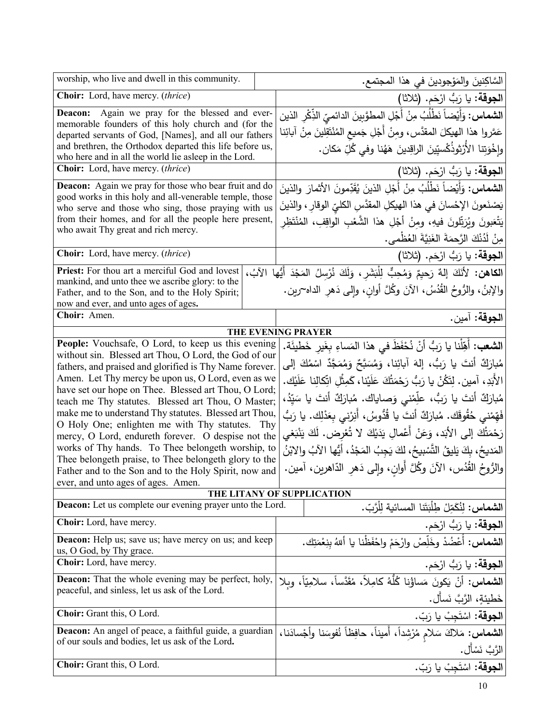| worship, who live and dwell in this community.                                                                          |                            | السَّاكِنينَ والمَوْجودينَ في هذا المجتمع.                                                        |
|-------------------------------------------------------------------------------------------------------------------------|----------------------------|---------------------------------------------------------------------------------------------------|
| Choir: Lord, have mercy. (thrice)                                                                                       |                            | ا <b>لجوقة:</b> يا رَبُّ ارْحَم. (ثلاثا)                                                          |
| Deacon: Again we pray for the blessed and ever-                                                                         |                            | ا <b>لشماس:</b> وَأَيْضاً نَطْلُبُ مِنْ أَجْلِ المطوَّبِينَ الدائميّ الذِّكْرِ الذين              |
| memorable founders of this holy church and (for the<br>departed servants of God, [Names], and all our fathers           |                            | عَمَّروا هذا الهيكلَ المقدَّس، ومِنْ أَجْلِ جَميع المُنْتَقِلينَ مِنْ آبائِنا                     |
| and brethren, the Orthodox departed this life before us,                                                                |                            | وإِخْوَتِنا الأَرْثِوذُكْسِيِّينَ الراقِدينَ هَهُنا وفي كُلِّ مَكان.                              |
| who here and in all the world lie asleep in the Lord.                                                                   |                            |                                                                                                   |
| Choir: Lord, have mercy. (thrice)                                                                                       |                            | الجوقة: يا رَبُّ ارْحَم. (ثلاثا)                                                                  |
| <b>Deacon:</b> Again we pray for those who bear fruit and do<br>good works in this holy and all-venerable temple, those |                            | ا <b>لشماس:</b> وَأَيْضاً نَطْلُبُ مِنْ أَجْلِ الذينَ يُقَدِّمونَ الأثمارَ والذينَ                |
| who serve and those who sing, those praying with us                                                                     |                            | يَصْنَعونَ الإحْسانَ في هذا الهيكلِ المقدَّسِ الكليِّ الوقارِ ، والذينَ                           |
| from their homes, and for all the people here present,                                                                  |                            | يَتْعَبونَ ويُرَبِّلونَ فيهِ، ومِنْ أَجْلِ هذا الشَّعْبِ الواقِفِ، المُنْتَظِر                    |
| who await Thy great and rich mercy.                                                                                     |                            | مِنْ لَدُنْكَ الرَّحِمَةَ الغَنِيَّةَ الغُظْمي.                                                   |
| Choir: Lord, have mercy. (thrice)                                                                                       |                            | ا <b>لجوقة:</b> يا رَبُّ ارْحَم. (ثلاثا)                                                          |
| Priest: For thou art a merciful God and lovest                                                                          |                            | ا <b>لكاهن:</b> لأنَكَ إلهٌ رَحيمٌ وَمُحِبٌّ لِلْبَشَرِ ، وَلَكَ نُرْسِلُ المَجْدَ أَيُّها الآبُ، |
| mankind, and unto thee we ascribe glory: to the                                                                         |                            | والإبنُ، والزُوحُ القُدُسُ، الآنَ وكُلَّ أوانِ، وإلى دَهرِ الداه~رين.                             |
| Father, and to the Son, and to the Holy Spirit;<br>now and ever, and unto ages of ages.                                 |                            |                                                                                                   |
| Choir: Amen.                                                                                                            |                            | ا <b>لجوقة:</b> آمين.                                                                             |
| <b>THE EVENING PRAYER</b>                                                                                               |                            |                                                                                                   |
| People: Vouchsafe, O Lord, to keep us this evening                                                                      |                            | ا <b>لشعب:</b> أَهِّلْنا يا رَبُّ أَنْ نُحْفَظَ في هذا المَساءِ بِغَيرِ خَطيئَة.                  |
| without sin. Blessed art Thou, O Lord, the God of our                                                                   |                            |                                                                                                   |
| fathers, and praised and glorified is Thy Name forever.                                                                 |                            | مُبارَكٌ أَنتَ يا رَبُّ، إِلهَ آبائِنا، وَمُسَبَّحٌ وَمُمَجَّدٌ اسْمُكَ إِلى                      |
| Amen. Let Thy mercy be upon us, O Lord, even as we<br>have set our hope on Thee. Blessed art Thou, O Lord;              |                            | الأَبَدِ، آمين. لِتَكُنْ يا رَبُّ رَحْمَتُكَ عَلَيْنا، كَمِثْلِ اتِّكالِنا عَلَيْك.               |
| teach me Thy statutes. Blessed art Thou, O Master;                                                                      |                            | مُبارَكٌ أنتَ يا رَبُّ، علِّمْني وَصاياك. مُبارَكٌ أنتَ يا سَيِّدُ،                               |
| make me to understand Thy statutes. Blessed art Thou,                                                                   |                            | فَهِّمْنـِي حُقُوقَك. مُبارَكٌ أَنتَ يا قُدُّوسُ، أُنِرْنـِي بِعَدْلِك. يا رَبُّ                  |
| O Holy One; enlighten me with Thy statutes. Thy                                                                         |                            |                                                                                                   |
| mercy, O Lord, endureth forever. O despise not the                                                                      |                            | رَحْمَتُكَ إِلَى الأَبَدِ، وَعَنْ أَعْمالِ يَدَيْكَ لا تُعْرِض. لَكَ يَنْبَغي                     |
| works of Thy hands. To Thee belongeth worship, to                                                                       |                            | المَديحُ، بِكَ يَليقُ النَّسْبِيحُ، لكَ يَجِبُ المَجْدُ، أَيُّها الآبُ والابْنُ                   |
| Thee belongeth praise, to Thee belongeth glory to the<br>Father and to the Son and to the Holy Spirit, now and          |                            | والرُّوحُ القُدُس، الآنَ وكُلَّ أوانٍ، وإلى دَهرِ الدّاهرينِ، آمين.                               |
| ever, and unto ages of ages. Amen.                                                                                      |                            |                                                                                                   |
|                                                                                                                         | THE LITANY OF SUPPLICATION |                                                                                                   |
| <b>Deacon:</b> Let us complete our evening prayer unto the Lord.                                                        |                            | ا <b>لشماس:</b> لِنُكَمِّلْ طِلْبَتَنا المسائية لِلْرَّبّ.                                        |
| Choir: Lord, have mercy.                                                                                                |                            | ا <b>لجوقة:</b> يا رَبُّ ارْحَم.                                                                  |
| <b>Deacon:</b> Help us; save us; have mercy on us; and keep<br>us, O God, by Thy grace.                                 |                            | ا <b>لشماس:</b> أَعْضُدْ وخَلِّصْ وارْحَمْ واحْفَظْنا يا أللهُ بنِعْمَتِك.                        |
| Choir: Lord, have mercy.                                                                                                |                            | الجوقة: يا رَبُّ ارْحَم.                                                                          |
| <b>Deacon:</b> That the whole evening may be perfect, holy,                                                             |                            | ا <b>لشماس:</b> أَنْ يَكونَ مَساؤُنا كُلُّهُ كامِلاً، مُقَدَّساً، سلامِيّاً، وبلا                 |
| peaceful, and sinless, let us ask of the Lord.                                                                          |                            | خَطيئةٍ، الرَّبَّ نَسأل.                                                                          |
| Choir: Grant this, O Lord.                                                                                              |                            | ا <b>لجوقة:</b> اسْتَجِبْ يا رَبّ.                                                                |
| <b>Deacon:</b> An angel of peace, a faithful guide, a guardian                                                          |                            | <b>الشماس:</b> مَلاكَ سَلام مُرْشِداً، أميناً، حافِظاً نُفوسَنا وأجْسادَنا،                       |
| of our souls and bodies, let us ask of the Lord.                                                                        |                            | الرَّبَّ نَسْأَل.                                                                                 |
| Choir: Grant this, O Lord.                                                                                              |                            | ا <b>لجوقة:</b> اسْتَجِبْ يا رَبّ.                                                                |
|                                                                                                                         |                            |                                                                                                   |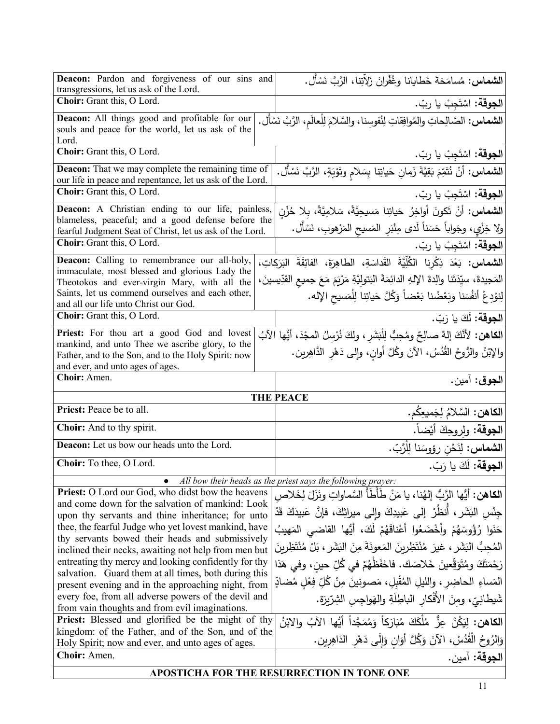| Deacon: Pardon and forgiveness of our sins and<br>transgressions, let us ask of the Lord.                                                  | ا <b>لشماس:</b> مُسامَحَةَ خَطايانا وغُفْرانَ زَلاِّتِنا، الرَّبَّ نَسْأَل.                                                                                            |
|--------------------------------------------------------------------------------------------------------------------------------------------|------------------------------------------------------------------------------------------------------------------------------------------------------------------------|
| Choir: Grant this, O Lord.                                                                                                                 | ا <b>لجوقة:</b> اسْتَجِبْ يا ربّ.                                                                                                                                      |
| Deacon: All things good and profitable for our<br>souls and peace for the world, let us ask of the<br>Lord.                                | ا <b>لشماس:</b> الصَّالِحاتِ والمُوافِقاتِ لِنُفوسِنا، والسَّلامَ لِلْعالَم، الرَّبَّ نَسْأَل.                                                                         |
| Choir: Grant this, O Lord.                                                                                                                 | <b>الجوقة:</b> اسْتَجِبْ يا ربّ.                                                                                                                                       |
| <b>Deacon:</b> That we may complete the remaining time of<br>our life in peace and repentance, let us ask of the Lord.                     | <b>الشماس:</b> أَنْ نُتَمِّمَ بَقِيَّةَ زَمانِ حَياتِنا بِسَلامِ وتَوْبَةٍ، الزَّبَّ نَسْأَل.                                                                          |
| Choir: Grant this, O Lord.                                                                                                                 | ا <b>لجوقة:</b> اسْتَجِبْ يا ربّ.                                                                                                                                      |
| <b>Deacon:</b> A Christian ending to our life, painless,<br>blameless, peaceful; and a good defense before the                             | الشماس: أنْ تَكونَ أُواخِرُ حَياتِنا مَسيحِيَّةً، سَلامِيَّةً، بِلا حُزْنِ<br>ولا خِزْيٍ، وجَواباً حَسَناً لَدى مِنْبَرِ المَسيحِ المَرْهوبِ، نَسْأَل.                 |
| fearful Judgment Seat of Christ, let us ask of the Lord.<br>Choir: Grant this, O Lord.                                                     | ا <b>لجوقة:</b> اسْتَجِبْ يا ربّ.                                                                                                                                      |
| Deacon: Calling to remembrance our all-holy,                                                                                               |                                                                                                                                                                        |
| immaculate, most blessed and glorious Lady the                                                                                             | الشعاس: بَعْدَ ذِكْرِنا الْكُلِّيَّةَ القَداسَةِ، الطاهِرَةَ، الفائِقَةَ البَرَكاتِ،                                                                                   |
| Theotokos and ever-virgin Mary, with all the                                                                                               | المَجيدةَ، سيِّدَتَنا والِدةَ الإِلهِ الدائِمَةَ البَتولِيَّةِ مَرْيَمَ مَعَ جميع القدِّيسينَ،                                                                         |
| Saints, let us commend ourselves and each other,<br>and all our life unto Christ our God.                                                  | لِنوْدِعْ أَنفُسَنا وبَعْضُنا بَعْضاً وَكُلَّ حَياتِنا لِلْمَسيحِ الإِله.                                                                                              |
| <b>Choir:</b> Grant this, O Lord.                                                                                                          | الجوقة: لَكَ يا رَبّ.                                                                                                                                                  |
| Priest: For thou art a good God and lovest                                                                                                 | ا <b>لكاهن:</b> لأَنَّكَ إلهٌ صالِحٌ ومُحِبٌّ لِلْبَشَرِ ، ولِكَ نُرْسِلُ المجْدَ، أيُّها الآبُ                                                                        |
| mankind, and unto Thee we ascribe glory, to the<br>Father, and to the Son, and to the Holy Spirit: now<br>and ever, and unto ages of ages. | والإِبْنُ والرُّوحُ القُدُسُ، الآنَ وكُلَّ أوانِ، وإِلـى دَهْرِ الدَّاهِرِينِ.                                                                                         |
|                                                                                                                                            |                                                                                                                                                                        |
| Choir: Amen.                                                                                                                               | ا <b>لجوق</b> : آمين.                                                                                                                                                  |
|                                                                                                                                            | <b>THE PEACE</b>                                                                                                                                                       |
| Priest: Peace be to all.                                                                                                                   |                                                                                                                                                                        |
| Choir: And to thy spirit.                                                                                                                  | ا <b>لكاهن:</b> السَّلامُ لِجَميعِكُم.<br>ا <b>لجوقة</b> : ولروحِكَ أيْضاً.                                                                                            |
| Deacon: Let us bow our heads unto the Lord.                                                                                                |                                                                                                                                                                        |
| Choir: To thee, O Lord.                                                                                                                    | ا <b>لشماس:</b> لِنَحْن رؤوسَنا لِلْرَّبّ.<br>ا <b>لجوقة:</b> لَكَ يا رَبّ.                                                                                            |
|                                                                                                                                            | All bow their heads as the priest says the following prayer:                                                                                                           |
| <b>Priest:</b> O Lord our God, who didst bow the heavens                                                                                   | <b>الكاهن:</b> أيُّها الرَّبُّ إلهُنا، يا مَنْ طَأَطَأَ السَّماواتِ ونَزَلَ لِخَلاص                                                                                    |
| and come down for the salvation of mankind: Look                                                                                           |                                                                                                                                                                        |
| upon thy servants and thine inheritance; for unto<br>thee, the fearful Judge who yet lovest mankind, have                                  | جِنْسِ البَشَرِ ، أَنظَرْ إلى عَبِيدِكَ وإلى ميراثِكَ، فإنَّ عَبِيدَكَ قَدْ                                                                                            |
| thy servants bowed their heads and submissively<br>inclined their necks, awaiting not help from men but                                    | حَنَوا رُؤُوسَهُمْ وأَخْضَعُوا أَعْناقَهُمْ لَكَ، أَيُّها القاضى المَهيبُ<br>الْمُحِبُّ الْبَشَرِ ، غيرَ مُنْتَظِرِينَ الْمَعونَةَ مِنَ الْبَشَرِ ، بَلْ مُنْتَظِرِينَ |
| entreating thy mercy and looking confidently for thy                                                                                       |                                                                                                                                                                        |
| salvation. Guard them at all times, both during this                                                                                       | رَحْمَتَكَ ومُتَوَقِّعينَ خَلاصَكَ. فاحْفَظْهُمْ في كُلِّ حين، وفي هَذا                                                                                                |
| present evening and in the approaching night, from<br>every foe, from all adverse powers of the devil and                                  | المَساءِ الحاضِرِ ، والليلِ المُقْبِلِ ، مَصونينَ مِنْ كُلِّ فِعْلِ مُضادٍّ                                                                                            |
| from vain thoughts and from evil imaginations.                                                                                             | شَيطانِيّ، ومنَ الأَفْكارِ الباطِلَةِ والهَواجِسِ الشِرِّيرَةِ.                                                                                                        |
| <b>Priest:</b> Blessed and glorified be the might of thy                                                                                   | ا <b>لكاهن:</b> ليَكُنْ عِزُّ مُلْكَكَ مُبَارَكاً وَمُمَجَّداً أَيُّها الآبُ والابْنُ                                                                                  |
| kingdom: of the Father, and of the Son, and of the<br>Holy Spirit; now and ever, and unto ages of ages.                                    | وَالزُوحُ الْقُدُسْ، الآنَ وَكُلَّ أَوَانٍ وَإِلَى دَهْرِ الدَاهِرِينِ.                                                                                                |
| Choir: Amen.                                                                                                                               | ا <b>لجوقة:</b> آمين.                                                                                                                                                  |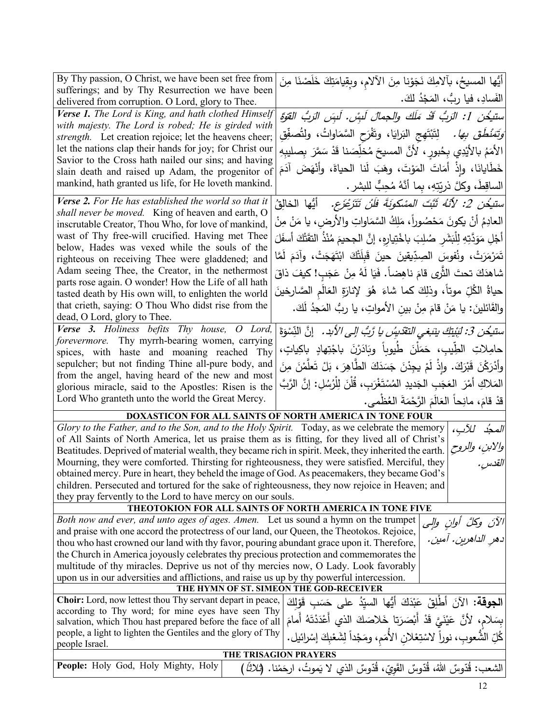| By Thy passion, O Christ, we have been set free from                                                                                                            |                                                                                           |  |  |
|-----------------------------------------------------------------------------------------------------------------------------------------------------------------|-------------------------------------------------------------------------------------------|--|--|
| sufferings; and by Thy Resurrection we have been                                                                                                                | أَيُّها المسيحُ، بألامِكَ نَجَوْنا مِنَ الألامِ، وبِقِيامَتِكَ خَلَصْنَا مِنَ             |  |  |
| delivered from corruption. O Lord, glory to Thee.                                                                                                               | الفَسادِ، فيا ربُّ، المَجْدُ لكَ.                                                         |  |  |
| Verse 1. The Lord is King, and hath clothed Himself                                                                                                             | ستيخُنِ 1: الرَبُّ قَدْ مَلَكَ والجمالَ لَبِسْ. لَبِسَ الرَبُّ القَوَّةِ                  |  |  |
| with majesty. The Lord is robed; He is girded with                                                                                                              | َ <i>وَتَمَنْطُقَ بِهَا.</i> لِتَبْتَهِج البَرايَا، وتَفْرَح السَّمَاواتُ، ولِتُصفِّقِ    |  |  |
| strength. Let creation rejoice; let the heavens cheer;<br>let the nations clap their hands for joy; for Christ our                                              |                                                                                           |  |  |
| Savior to the Cross hath nailed our sins; and having                                                                                                            | الأَمَمُ بالأَيْدِي بِحُبورٍ ، لأَنَّ المسيحَ مُخلِّصَنا قَدْ سَمَّرَ بِصليبِهِ           |  |  |
| slain death and raised up Adam, the progenitor of                                                                                                               | خَطَايانَا، وإِذْ أَمَاتَ المَوْتَ، وهَبَ لَنا الحياةَ، وأَنْهَضَ آدَمَ                   |  |  |
| mankind, hath granted us life, for He loveth mankind.                                                                                                           | الساقِطَ، وكلَّ ذريّتِهِ، بما أنَّهُ مُحِبٌّ للبشر .                                      |  |  |
| Verse 2. For He has established the world so that it                                                                                                            | ستيُدن 2: لأنّهُ ثَبّتَ المسْكونَةَ فَلَنْ تَتَرْعَزَعِ. ۚ أَيُّها الخالِقُ               |  |  |
| shall never be moved. King of heaven and earth, O<br>inscrutable Creator, Thou Who, for love of mankind,                                                        | العادِمُ أنْ يكونَ مَحْصُوراً، مَلِكُ السَّمَاواتِ والأرض، يا مَنْ مِنْ                   |  |  |
| wast of Thy free-will crucified. Having met Thee                                                                                                                | أَجْلِ مَوَدَّتِهِ لِلْبَشَرِ صُلِبَ باخْتِيارِهِ، إنَّ الجحيمَ مُنْذُ التَّقَتْكَ أسفَلَ |  |  |
| below, Hades was vexed while the souls of the                                                                                                                   |                                                                                           |  |  |
| righteous on receiving Thee were gladdened; and                                                                                                                 | تَمَرْمَرَتْ، ونُفوسَ الصِدِّيقينَ حينَ قَبِلَتْكَ ابْتَهَجَتْ، وآدَمَ لَمَّا             |  |  |
| Adam seeing Thee, the Creator, in the nethermost                                                                                                                | شاهدَكَ تحتَ الثَّرِي قامَ ناهِضاً. فَيَا لَهُ مِنْ عَجَبِ! كيفَ ذاقَ                     |  |  |
| parts rose again. O wonder! How the Life of all hath<br>tasted death by His own will, to enlighten the world                                                    | حياةُ الكُلِّ موتاً، وذلِكَ كما شاءَ هُوَ لإنارَةِ العَالَمِ الصَّارِخينَ                 |  |  |
| that crieth, saying: O Thou Who didst rise from the                                                                                                             | والقَائلينَ: يا مَنْ قامَ مِنْ بينِ الأمواتِ، يا ربُّ المَجدُ لَكَ.                       |  |  |
| dead, O Lord, glory to Thee.                                                                                                                                    |                                                                                           |  |  |
| Verse 3. Holiness befits Thy house, O Lord,                                                                                                                     | ستيخُن 3: لَبِنْيَكَ بِنَبَغِي التَقَدِيسُ يا رَّبُّ إلى الأبد. ﴿ إِنَّ النِّسْوَةَ       |  |  |
| forevermore. Thy myrrh-bearing women, carrying<br>spices, with haste and moaning reached Thy                                                                    | حامِلاتِ الطِّيبِ، حَمَلْنَ طَيوباً وبَادَرْنَ باجْتِهادٍ باكِياتٍ،                       |  |  |
| sepulcher; but not finding Thine all-pure body, and                                                                                                             | وأَدْرَكْنَ قَبْرَكَ. وإِذْ لَمْ يجِدْنَ جَسَدَكَ الطَّاهِرَ ، بَلْ تَعلَّمْنَ مِنَ       |  |  |
| from the angel, having heard of the new and most                                                                                                                |                                                                                           |  |  |
| glorious miracle, said to the Apostles: Risen is the                                                                                                            | المَلاكِ أَمْرَ  العَجَبِ الجَديدِ المُسْتَغْرَبِ، قُلْنَ لِلْرُسُلِ: إنَّ الرَّبَّ       |  |  |
| Lord Who granteth unto the world the Great Mercy.                                                                                                               | قدْ قامَ، مانِحاً العَالَمَ الرَّحْمَةَ العُظْمي.                                         |  |  |
|                                                                                                                                                                 | DOXASTICON FOR ALL SAINTS OF NORTH AMERICA IN TONE FOUR                                   |  |  |
| Glory to the Father, and to the Son, and to the Holy Spirit. Today, as we celebrate the memory                                                                  | المجدُ للآب،                                                                              |  |  |
| of All Saints of North America, let us praise them as is fitting, for they lived all of Christ's                                                                |                                                                                           |  |  |
| Beatitudes. Deprived of material wealth, they became rich in spirit. Meek, they inherited the earth.                                                            | والابنِ، والروح                                                                           |  |  |
| Mourning, they were comforted. Thirsting for righteousness, they were satisfied. Merciful, they                                                                 | القدس .                                                                                   |  |  |
| obtained mercy. Pure in heart, they beheld the image of God. As peacemakers, they became God's                                                                  |                                                                                           |  |  |
| children. Persecuted and tortured for the sake of righteousness, they now rejoice in Heaven; and<br>they pray fervently to the Lord to have mercy on our souls. |                                                                                           |  |  |
| THEOTOKION FOR ALL SAINTS OF NORTH AMERICA IN TONE FIVE                                                                                                         |                                                                                           |  |  |
| Both now and ever, and unto ages of ages. Amen. Let us sound a hymn on the trumpet                                                                              |                                                                                           |  |  |
| الآن وككَّ أوانٍ والٍى<br>دهرِ الداهرينِ. آمين .<br>and praise with one accord the protectress of our land, our Queen, the Theotokos. Rejoice,                  |                                                                                           |  |  |
|                                                                                                                                                                 | thou who hast crowned our land with thy favor, pouring abundant grace upon it. Therefore, |  |  |
| the Church in America joyously celebrates thy precious protection and commemorates the                                                                          |                                                                                           |  |  |
| multitude of thy miracles. Deprive us not of thy mercies now, O Lady. Look favorably                                                                            |                                                                                           |  |  |
| upon us in our adversities and afflictions, and raise us up by thy powerful intercession.                                                                       |                                                                                           |  |  |
|                                                                                                                                                                 | THE HYMN OF ST. SIMEON THE GOD-RECEIVER                                                   |  |  |
| Choir: Lord, now lettest thou Thy servant depart in peace,<br>according to Thy word; for mine eyes have seen Thy                                                | ا <b>لجوقة:</b> الآنَ أَطْلِقْ عَبْدَكَ أَيُّها السيِّدُ على حَسَبِ قَوْلِكَ              |  |  |
| salvation, which Thou hast prepared before the face of all                                                                                                      | بِسَلام، لأَنَّ عَيْنَيَّ قَدْ أَبْصَرَتا خَلاصَكَ الذي أَعْدَدْتَهُ أَمامَ               |  |  |
| people, a light to lighten the Gentiles and the glory of Thy                                                                                                    |                                                                                           |  |  |
| people Israel.                                                                                                                                                  | كُلِّ الشُّعوبِ، نوراً لاسْتِعْلانِ الأُمَمِ، ومَجْداً لِشَعْبِكَ إسْرائيل.               |  |  |
| THE TRISAGION PRAYERS                                                                                                                                           |                                                                                           |  |  |
| People: Holy God, Holy Mighty, Holy                                                                                                                             | الشعب: قُدّوسٌ اللهُ، قُدّوسٌ القَويّ، قُدّوسٌ الذي لا يَموتُ، ارحَمْنا. (ثلاثًا          |  |  |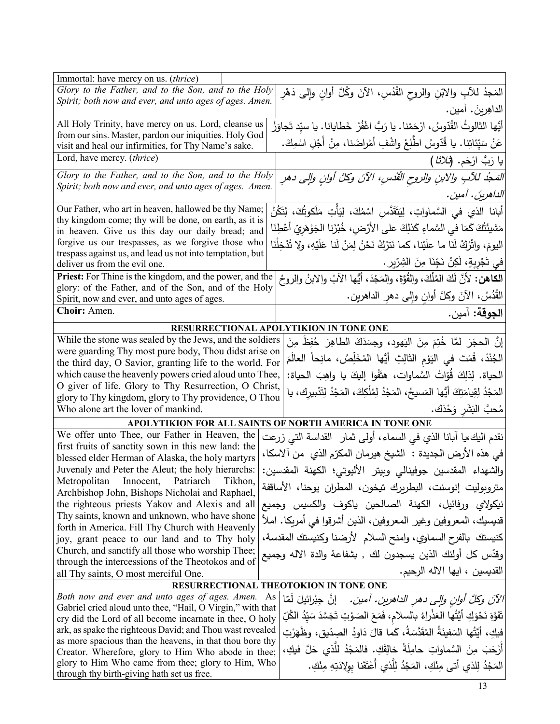| Immortal: have mercy on us. (thrice)                                                                                     |  |                                                                                             |
|--------------------------------------------------------------------------------------------------------------------------|--|---------------------------------------------------------------------------------------------|
| Glory to the Father, and to the Son, and to the Holy                                                                     |  | المَجدُ للأبِ والابْنِ والروح القُدُسِ، الآنَ وكُلَّ أوانِ وإلى دَهْرِ                      |
| Spirit; both now and ever, and unto ages of ages. Amen.                                                                  |  | الداهِرِينَ. آمين.                                                                          |
| All Holy Trinity, have mercy on us. Lord, cleanse us                                                                     |  | أَيُّها الثالوثُ القُدّوسُ، ارْحَمْنا. يا رَبُّ اغْفُرْ خَطايانا. يا سيِّد تَجاوَزْ         |
| from our sins. Master, pardon our iniquities. Holy God<br>visit and heal our infirmities, for Thy Name's sake.           |  | عَنْ سَيِّئاتِنا. يا قُدّوسُ اطّْلِعْ واشْفِ أَمْراضَنا، مِنْ أَجْلِ اسْمِكَ.               |
| Lord, have mercy. (thrice)                                                                                               |  | يا رَبُّ ارْحَم. ( <i>ثلاثا</i> )                                                           |
| Glory to the Father, and to the Son, and to the Holy                                                                     |  | المَجْد للآبِ والابنِ والروح الْقُدْسِ، الآنَ وكلَّ أوانِ والِي دهرِ                        |
| Spirit; both now and ever, and unto ages of ages. Amen.                                                                  |  | الداهرينَ . آمين .                                                                          |
| Our Father, who art in heaven, hallowed be thy Name;                                                                     |  | أبانا الذي في السَّماواتِ، لِيَتَقَدَّس اسْمُكَ، لِيَأْتِ مَلَكوتُكَ، لِتَكُنْ              |
| thy kingdom come; thy will be done, on earth, as it is<br>in heaven. Give us this day our daily bread; and               |  | مَشيئَتُكَ كَمَا فـى السَّماءِ كَذلِكَ علـى الأرْضِ، خُبْزَنا الجَوْهَريّ أعْطِنَا          |
| forgive us our trespasses, as we forgive those who                                                                       |  | اليومَ، واتْرُكْ لَنَا ما علَيْنا، كما نَترُكُ نَحْنُ لِمَنْ لَنا عَلَيْهِ، ولا تُدْخِلْنَا |
| trespass against us, and lead us not into temptation, but                                                                |  | في تَجْرِبِةٍ، لَكِنْ نَجِّنَا مِنَ الشِرِّيرِ .                                            |
| deliver us from the evil one.                                                                                            |  |                                                                                             |
| <b>Priest:</b> For Thine is the kingdom, and the power, and the<br>glory: of the Father, and of the Son, and of the Holy |  | الكاهن: لأنَّ لَكَ المُلْكَ، والقُوَّةَ، والمَجْدَ، أيُّها الآبُ والابنُ والروحُ            |
| Spirit, now and ever, and unto ages of ages.                                                                             |  | الْقُدُسُ، الآنَ وكلَّ أوان وإلى دهر الداهرين.                                              |
| Choir: Amen.                                                                                                             |  | ا <b>لجوقة:</b> آمين.                                                                       |
| RESURRECTIONAL APOLYTIKION IN TONE ONE                                                                                   |  |                                                                                             |
| While the stone was sealed by the Jews, and the soldiers                                                                 |  | إِنَّ الحجَرَ لَمَّا خُتِمَ مِنَ اليَهودِ، وجِسَدَكَ الطاهِرَ حُفِظَ مِنَ                   |
| were guarding Thy most pure body, Thou didst arise on                                                                    |  | الْجُنْدْ، قُمْتَ في اليَوْمِ الثالِثِ أَيُّها المُخَلِّصُ، مانِحاً العالَمَ                |
| the third day, O Savior, granting life to the world. For                                                                 |  |                                                                                             |
| which cause the heavenly powers cried aloud unto Thee,                                                                   |  | الحياة. لِذلِكَ قُوّاتُ السَّماوات، هتَفُوا إِليكَ يا واهِبَ الحياة:                        |
| O giver of life. Glory to Thy Resurrection, O Christ,<br>glory to Thy kingdom, glory to Thy providence, O Thou           |  | المَجْدُ لِقِيامَتِكَ أَيُّها المَسيحُ، المَجْدُ لِمُلْكِكَ، المَجْدُ لِتَدْبِيرِكَ، يا     |
| Who alone art the lover of mankind.                                                                                      |  | مُحبَّ البَشَرِ وَحْدَك.                                                                    |
| APOLYTIKION FOR ALL SAINTS OF NORTH AMERICA IN TONE ONE                                                                  |  |                                                                                             |
| We offer unto Thee, our Father in Heaven, the                                                                            |  | نقدم اليك،يا أبانا الذي في السماء، أولىي ثمار  القداسة التي زرعت                            |
| first fruits of sanctity sown in this new land: the<br>blessed elder Herman of Alaska, the holy martyrs                  |  | في هذه الأرض الجديدة :  الشيخ هيرمان المكرّم الذي  من آلاسكا،                               |
| Juvenaly and Peter the Aleut; the holy hierarchs:                                                                        |  | والشهداء المقدسين جوفينالي وبيتر الأليوتي؛ الكهنة المقدسين:                                 |
| Metropolitan Innocent, Patriarch Tikhon,                                                                                 |  | متروبوليت إنوسنت، البطريرك تيخون، المطران يوحنا، الأساقفة                                   |
| Archbishop John, Bishops Nicholai and Raphael,<br>the righteous priests Yakov and Alexis and all                         |  | نيكولاي ورفائيل، الكهنة الصالحين ياكوف والكسيس وجميع                                        |
| Thy saints, known and unknown, who have shone                                                                            |  |                                                                                             |
| forth in America. Fill Thy Church with Heavenly                                                                          |  | قديسيك، المعروفين وغير المعروفين، الذين أشرقوا في أمريكا. املأ                              |
| joy, grant peace to our land and to Thy holy                                                                             |  | كنيستك بالفرح السماوي، وامنح السلام الأرضنا وكنيستك المقدسة،                                |
| Church, and sanctify all those who worship Thee;<br>through the intercessions of the Theotokos and of                    |  | وقدّس كل أولئك الذين يسجدون لك ٬ بشفاعة والدة الاله وجميع                                   |
| all Thy saints, O most merciful One.                                                                                     |  | القديسين ، ايها الآله الرحيم.                                                               |
| RESURRECTIONAL THEOTOKION IN TONE ONE                                                                                    |  |                                                                                             |
| Both now and ever and unto ages of ages. Amen. As                                                                        |  | <i>الآنَ وكلَّ أوانِ وإلى دهرِ الداهرين. آمين.</i> إنَّ جِبْرائيلَ لممّا                    |
| Gabriel cried aloud unto thee, "Hail, O Virgin," with that                                                               |  | تَفَوَّهَ نَحْوَكِ أَيَّتُها العَذْراءُ بالسلام، فَمَعَ الصَوْتِ تَجَسَّدَ سَيِّدُ الكُلِّ  |
| cry did the Lord of all become incarnate in thee, O holy<br>ark, as spake the righteous David; and Thou wast revealed    |  | فيكِ، أَيَّتُها السَفينَةُ المُقَدَّسَةُ، كَما قالَ دَاوِدُ الصِدِّيقِ، وظَهَرْتِ           |
| as more spacious than the heavens, in that thou bore thy                                                                 |  |                                                                                             |
| Creator. Wherefore, glory to Him Who abode in thee;                                                                      |  | أَرْحَبَ مِنَ السَّماواتِ حامِلَةً خالِقَكِ. فالمَجْدُ للَّذي حَلَّ فيكِ،                   |
| glory to Him Who came from thee; glory to Him, Who<br>through thy birth-giving hath set us free.                         |  | المَجُدُ لِلذي أتى مِنْكِ، المَجْدُ لِلَّذي أَعْتَقَنا بولِادَتِهِ مِنْكِ.                  |